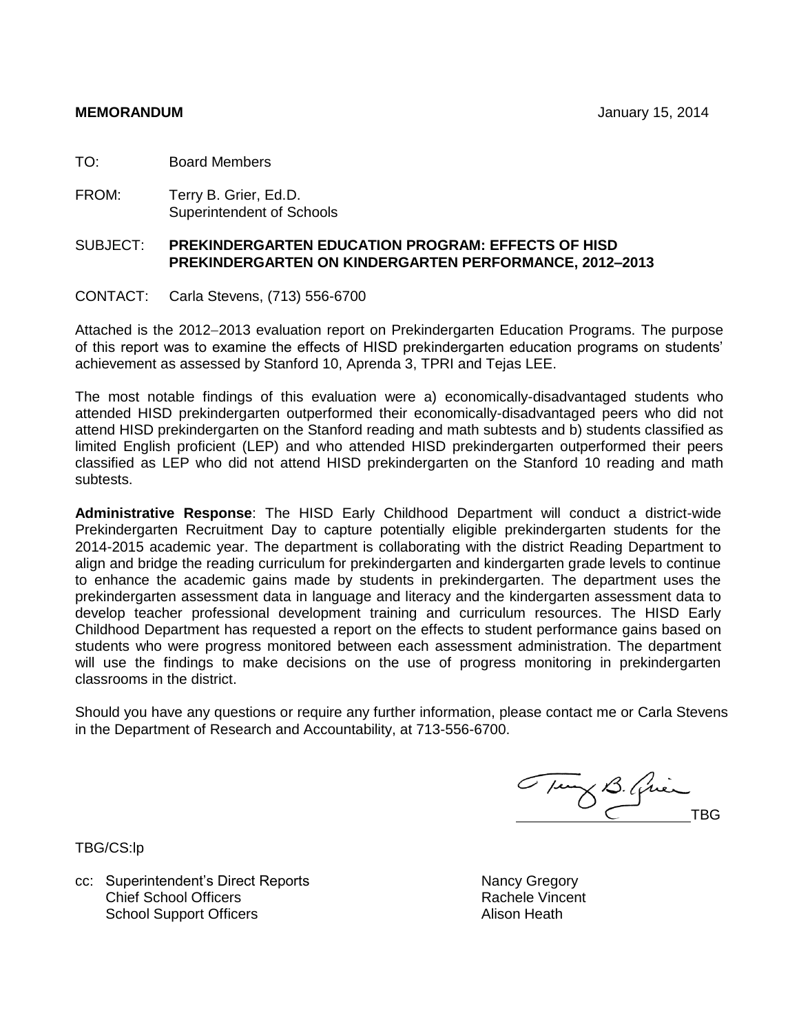TO: Board Members

FROM: Terry B. Grier, Ed.D. Superintendent of Schools

# SUBJECT: **PREKINDERGARTEN EDUCATION PROGRAM: EFFECTS OF HISD PREKINDERGARTEN ON KINDERGARTEN PERFORMANCE, 2012–2013**

CONTACT: Carla Stevens, (713) 556-6700

Attached is the 2012–2013 evaluation report on Prekindergarten Education Programs. The purpose of this report was to examine the effects of HISD prekindergarten education programs on students' achievement as assessed by Stanford 10, Aprenda 3, TPRI and Tejas LEE.

The most notable findings of this evaluation were a) economically-disadvantaged students who attended HISD prekindergarten outperformed their economically-disadvantaged peers who did not attend HISD prekindergarten on the Stanford reading and math subtests and b) students classified as limited English proficient (LEP) and who attended HISD prekindergarten outperformed their peers classified as LEP who did not attend HISD prekindergarten on the Stanford 10 reading and math subtests.

**Administrative Response**: The HISD Early Childhood Department will conduct a district-wide Prekindergarten Recruitment Day to capture potentially eligible prekindergarten students for the 2014-2015 academic year. The department is collaborating with the district Reading Department to align and bridge the reading curriculum for prekindergarten and kindergarten grade levels to continue to enhance the academic gains made by students in prekindergarten. The department uses the prekindergarten assessment data in language and literacy and the kindergarten assessment data to develop teacher professional development training and curriculum resources. The HISD Early Childhood Department has requested a report on the effects to student performance gains based on students who were progress monitored between each assessment administration. The department will use the findings to make decisions on the use of progress monitoring in prekindergarten classrooms in the district.

Should you have any questions or require any further information, please contact me or Carla Stevens in the Department of Research and Accountability, at 713-556-6700.

Tung B. Quin

TBG/CS:lp

cc: Superintendent's Direct Reports Nancy Gregory Chief School Officers School Support Officers

Rachele Vincent Alison Heath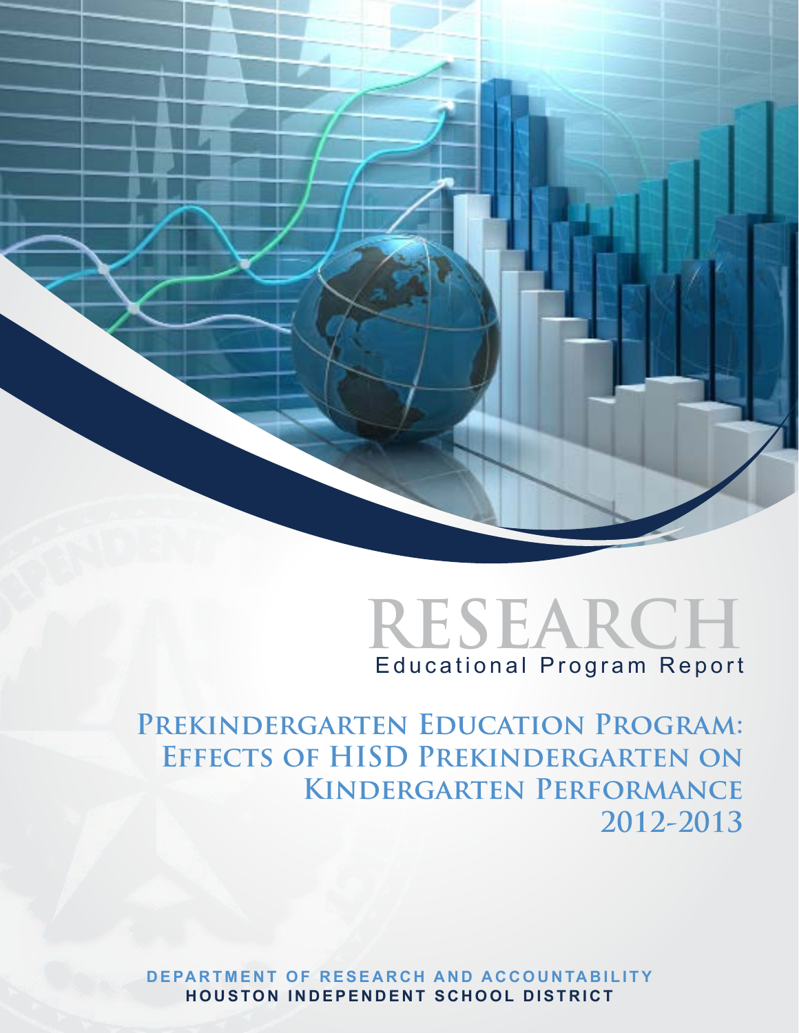



PREKINDERGARTEN EDUCATION PROGRAM: **Effects of HISD Prekindergarten on Kindergarten Performance 2012-2013**

**DEPARTMENT OF RESEARCH AND ACCOUNTABILITY H ouston I n d epen d ent S chool District**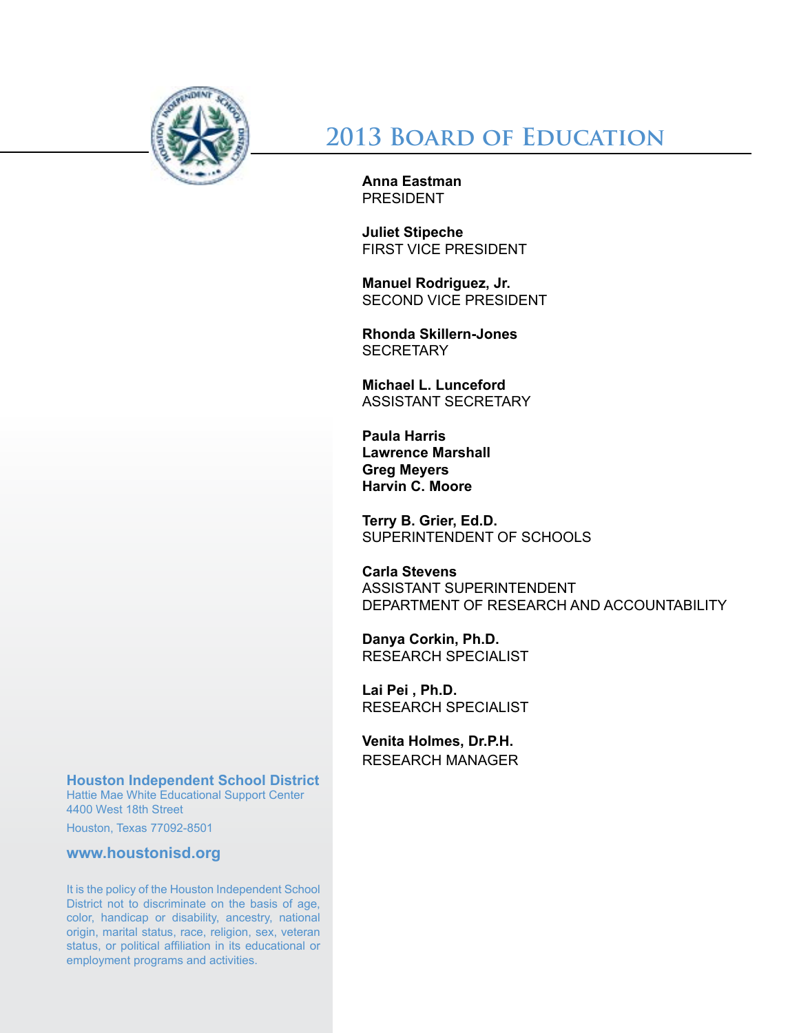

# **2013 Board of Education**

**Anna Eastman PRESIDENT** 

**Juliet Stipeche** First Vice President

**Manuel Rodriguez, Jr.** Second Vice President

**Rhonda Skillern-Jones SECRETARY** 

**Michael L. Lunceford** Assistant Secretary

**Paula Harris Lawrence Marshall Greg Meyers Harvin C. Moore**

**Terry B. Grier, Ed.D.** SUPERINTENDENT OF SCHOOLS

**Carla Stevens** ASSISTANT SUPERINTENDENT DEPARTMENT OF RESEARCH AND ACCOUNTABILITY

**Danya Corkin, Ph.D.** RESEARCH SPECIALIST

**Lai Pei , Ph.D.** RESEARCH SPECIALIST

**Venita Holmes, Dr.P.H.** RESEARCH MANAGER

**Houston Independent School District**

Hattie Mae White Educational Support Center 4400 West 18th Street

Houston, Texas 77092-8501

**www.houstonisd.org**

It is the policy of the Houston Independent School District not to discriminate on the basis of age, color, handicap or disability, ancestry, national origin, marital status, race, religion, sex, veteran status, or political affiliation in its educational or employment programs and activities.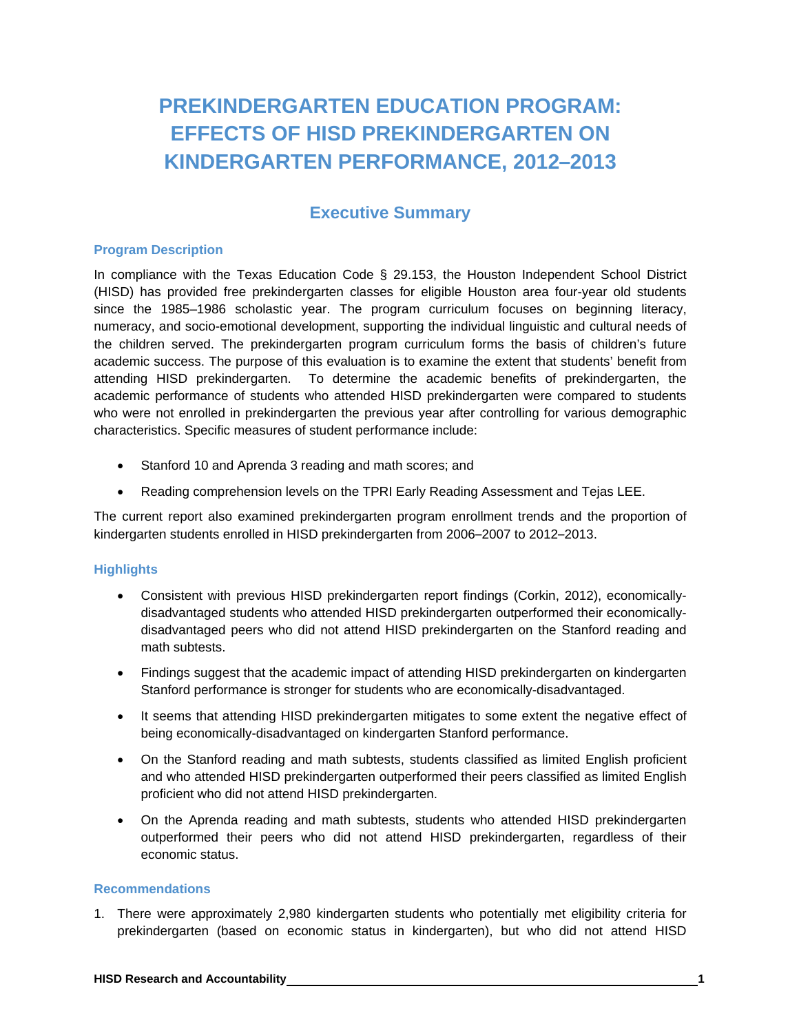# **PREKINDERGARTEN EDUCATION PROGRAM: EFFECTS OF HISD PREKINDERGARTEN ON KINDERGARTEN PERFORMANCE, 2012–2013**

# **Executive Summary**

### **Program Description**

In compliance with the Texas Education Code § 29.153, the Houston Independent School District (HISD) has provided free prekindergarten classes for eligible Houston area four-year old students since the 1985–1986 scholastic year. The program curriculum focuses on beginning literacy, numeracy, and socio-emotional development, supporting the individual linguistic and cultural needs of the children served. The prekindergarten program curriculum forms the basis of children's future academic success. The purpose of this evaluation is to examine the extent that students' benefit from attending HISD prekindergarten. To determine the academic benefits of prekindergarten, the academic performance of students who attended HISD prekindergarten were compared to students who were not enrolled in prekindergarten the previous year after controlling for various demographic characteristics. Specific measures of student performance include:

- Stanford 10 and Aprenda 3 reading and math scores; and
- Reading comprehension levels on the TPRI Early Reading Assessment and Tejas LEE.

The current report also examined prekindergarten program enrollment trends and the proportion of kindergarten students enrolled in HISD prekindergarten from 2006–2007 to 2012–2013.

# **Highlights**

- Consistent with previous HISD prekindergarten report findings (Corkin, 2012), economicallydisadvantaged students who attended HISD prekindergarten outperformed their economicallydisadvantaged peers who did not attend HISD prekindergarten on the Stanford reading and math subtests.
- Findings suggest that the academic impact of attending HISD prekindergarten on kindergarten Stanford performance is stronger for students who are economically-disadvantaged.
- It seems that attending HISD prekindergarten mitigates to some extent the negative effect of being economically-disadvantaged on kindergarten Stanford performance.
- On the Stanford reading and math subtests, students classified as limited English proficient and who attended HISD prekindergarten outperformed their peers classified as limited English proficient who did not attend HISD prekindergarten.
- On the Aprenda reading and math subtests, students who attended HISD prekindergarten outperformed their peers who did not attend HISD prekindergarten, regardless of their economic status.

### **Recommendations**

1. There were approximately 2,980 kindergarten students who potentially met eligibility criteria for prekindergarten (based on economic status in kindergarten), but who did not attend HISD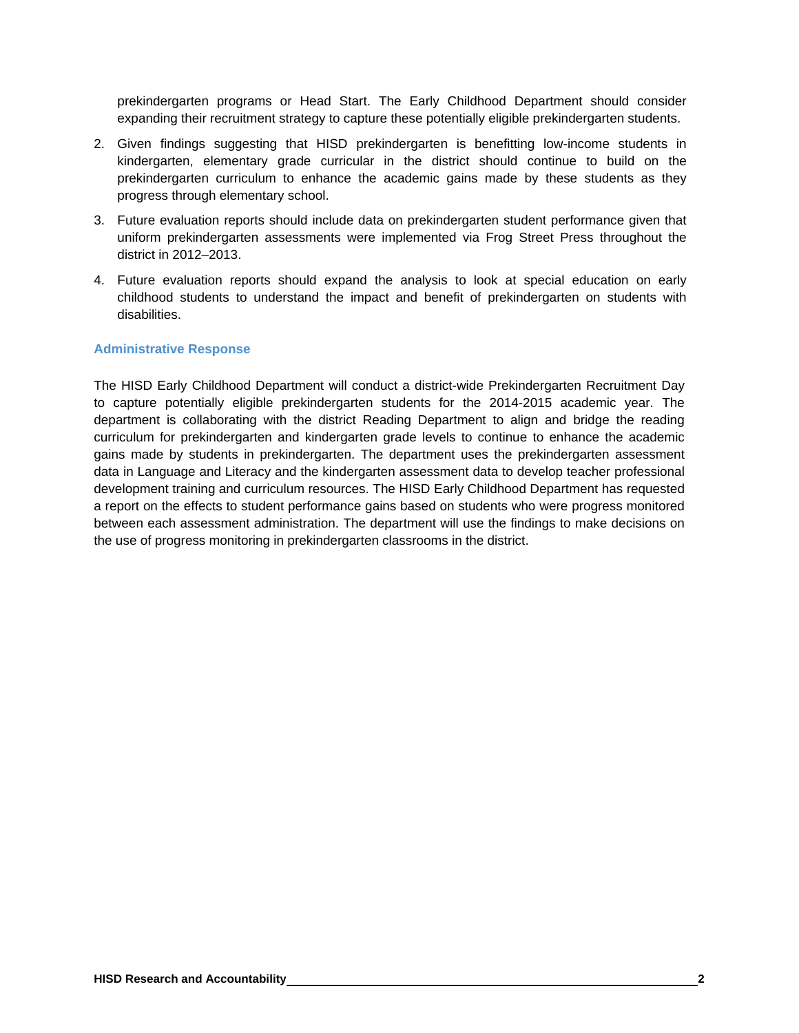prekindergarten programs or Head Start. The Early Childhood Department should consider expanding their recruitment strategy to capture these potentially eligible prekindergarten students.

- 2. Given findings suggesting that HISD prekindergarten is benefitting low-income students in kindergarten, elementary grade curricular in the district should continue to build on the prekindergarten curriculum to enhance the academic gains made by these students as they progress through elementary school.
- 3. Future evaluation reports should include data on prekindergarten student performance given that uniform prekindergarten assessments were implemented via Frog Street Press throughout the district in 2012–2013.
- 4. Future evaluation reports should expand the analysis to look at special education on early childhood students to understand the impact and benefit of prekindergarten on students with disabilities.

# **Administrative Response**

The HISD Early Childhood Department will conduct a district-wide Prekindergarten Recruitment Day to capture potentially eligible prekindergarten students for the 2014-2015 academic year. The department is collaborating with the district Reading Department to align and bridge the reading curriculum for prekindergarten and kindergarten grade levels to continue to enhance the academic gains made by students in prekindergarten. The department uses the prekindergarten assessment data in Language and Literacy and the kindergarten assessment data to develop teacher professional development training and curriculum resources. The HISD Early Childhood Department has requested a report on the effects to student performance gains based on students who were progress monitored between each assessment administration. The department will use the findings to make decisions on the use of progress monitoring in prekindergarten classrooms in the district.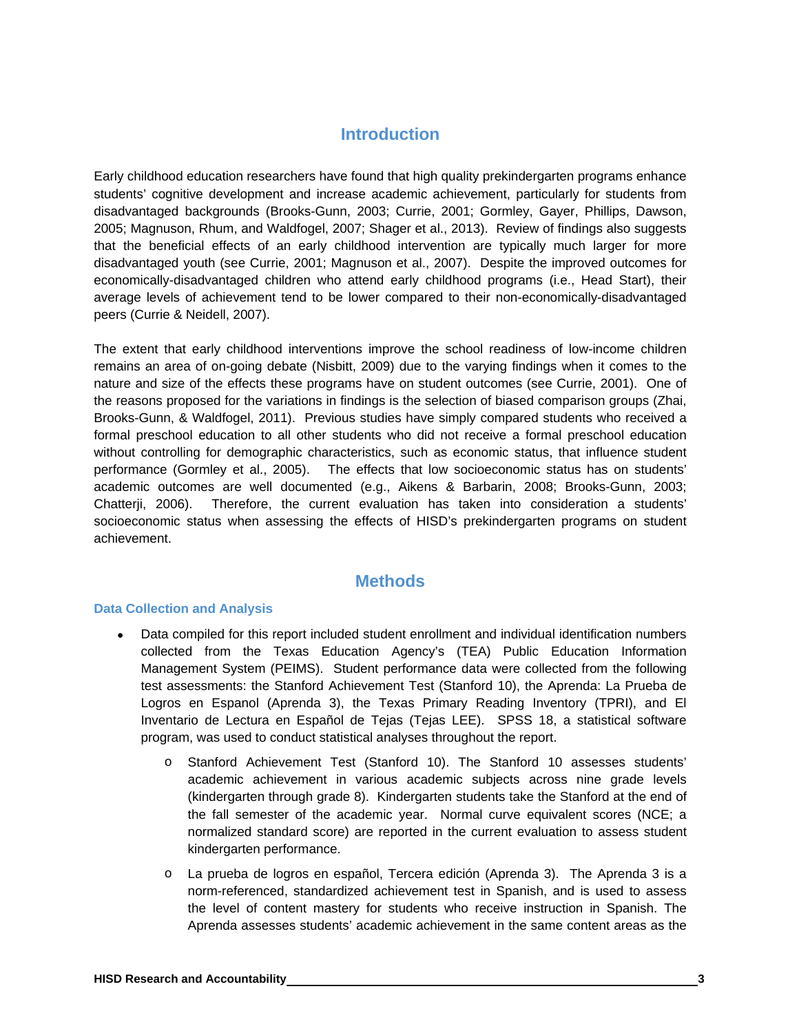# **Introduction**

Early childhood education researchers have found that high quality prekindergarten programs enhance students' cognitive development and increase academic achievement, particularly for students from disadvantaged backgrounds (Brooks-Gunn, 2003; Currie, 2001; Gormley, Gayer, Phillips, Dawson, 2005; Magnuson, Rhum, and Waldfogel, 2007; Shager et al., 2013). Review of findings also suggests that the beneficial effects of an early childhood intervention are typically much larger for more disadvantaged youth (see Currie, 2001; Magnuson et al., 2007). Despite the improved outcomes for economically-disadvantaged children who attend early childhood programs (i.e., Head Start), their average levels of achievement tend to be lower compared to their non-economically-disadvantaged peers (Currie & Neidell, 2007).

The extent that early childhood interventions improve the school readiness of low-income children remains an area of on-going debate (Nisbitt, 2009) due to the varying findings when it comes to the nature and size of the effects these programs have on student outcomes (see Currie, 2001). One of the reasons proposed for the variations in findings is the selection of biased comparison groups (Zhai, Brooks-Gunn, & Waldfogel, 2011). Previous studies have simply compared students who received a formal preschool education to all other students who did not receive a formal preschool education without controlling for demographic characteristics, such as economic status, that influence student performance (Gormley et al., 2005). The effects that low socioeconomic status has on students' academic outcomes are well documented (e.g., Aikens & Barbarin, 2008; Brooks-Gunn, 2003; Chatterji, 2006). Therefore, the current evaluation has taken into consideration a students' socioeconomic status when assessing the effects of HISD's prekindergarten programs on student achievement.

# **Methods**

#### **Data Collection and Analysis**

- Data compiled for this report included student enrollment and individual identification numbers collected from the Texas Education Agency's (TEA) Public Education Information Management System (PEIMS). Student performance data were collected from the following test assessments: the Stanford Achievement Test (Stanford 10), the Aprenda: La Prueba de Logros en Espanol (Aprenda 3), the Texas Primary Reading Inventory (TPRI), and El Inventario de Lectura en Español de Tejas (Tejas LEE). SPSS 18, a statistical software program, was used to conduct statistical analyses throughout the report.
	- o Stanford Achievement Test (Stanford 10). The Stanford 10 assesses students' academic achievement in various academic subjects across nine grade levels (kindergarten through grade 8). Kindergarten students take the Stanford at the end of the fall semester of the academic year. Normal curve equivalent scores (NCE; a normalized standard score) are reported in the current evaluation to assess student kindergarten performance.
	- o La prueba de logros en español, Tercera edición (Aprenda 3). The Aprenda 3 is a norm-referenced, standardized achievement test in Spanish, and is used to assess the level of content mastery for students who receive instruction in Spanish. The Aprenda assesses students' academic achievement in the same content areas as the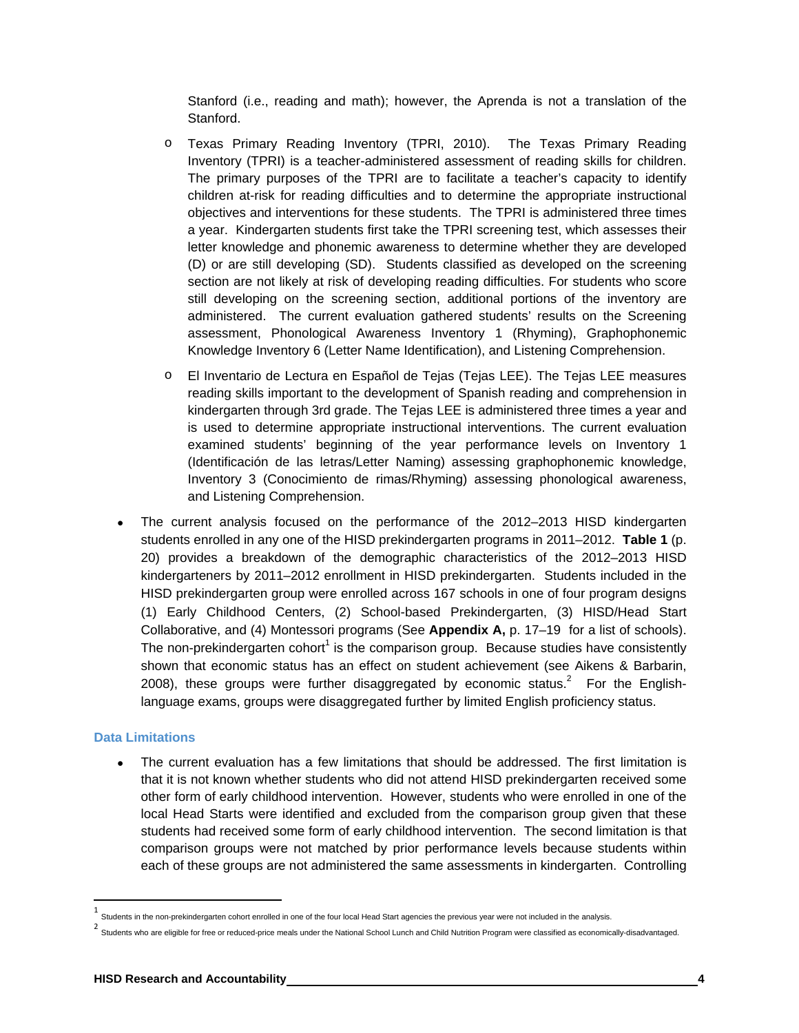Stanford (i.e., reading and math); however, the Aprenda is not a translation of the Stanford.

- o Texas Primary Reading Inventory (TPRI, 2010). The Texas Primary Reading Inventory (TPRI) is a teacher-administered assessment of reading skills for children. The primary purposes of the TPRI are to facilitate a teacher's capacity to identify children at-risk for reading difficulties and to determine the appropriate instructional objectives and interventions for these students. The TPRI is administered three times a year. Kindergarten students first take the TPRI screening test, which assesses their letter knowledge and phonemic awareness to determine whether they are developed (D) or are still developing (SD). Students classified as developed on the screening section are not likely at risk of developing reading difficulties. For students who score still developing on the screening section, additional portions of the inventory are administered. The current evaluation gathered students' results on the Screening assessment, Phonological Awareness Inventory 1 (Rhyming), Graphophonemic Knowledge Inventory 6 (Letter Name Identification), and Listening Comprehension.
- o El Inventario de Lectura en Español de Tejas (Tejas LEE). The Tejas LEE measures reading skills important to the development of Spanish reading and comprehension in kindergarten through 3rd grade. The Tejas LEE is administered three times a year and is used to determine appropriate instructional interventions. The current evaluation examined students' beginning of the year performance levels on Inventory 1 (Identificación de las letras/Letter Naming) assessing graphophonemic knowledge, Inventory 3 (Conocimiento de rimas/Rhyming) assessing phonological awareness, and Listening Comprehension.
- The current analysis focused on the performance of the 2012–2013 HISD kindergarten students enrolled in any one of the HISD prekindergarten programs in 2011–2012. **Table 1** (p. 20) provides a breakdown of the demographic characteristics of the 2012–2013 HISD kindergarteners by 2011–2012 enrollment in HISD prekindergarten. Students included in the HISD prekindergarten group were enrolled across 167 schools in one of four program designs (1) Early Childhood Centers, (2) School-based Prekindergarten, (3) HISD/Head Start Collaborative, and (4) Montessori programs (See **Appendix A,** p. 17–19 for a list of schools). The non-prekindergarten cohort<sup>1</sup> is the comparison group. Because studies have consistently shown that economic status has an effect on student achievement (see Aikens & Barbarin, 2008), these groups were further disaggregated by economic status.<sup>2</sup> For the Englishlanguage exams, groups were disaggregated further by limited English proficiency status.

#### **Data Limitations**

 The current evaluation has a few limitations that should be addressed. The first limitation is that it is not known whether students who did not attend HISD prekindergarten received some other form of early childhood intervention. However, students who were enrolled in one of the local Head Starts were identified and excluded from the comparison group given that these students had received some form of early childhood intervention. The second limitation is that comparison groups were not matched by prior performance levels because students within each of these groups are not administered the same assessments in kindergarten. Controlling

 $1$  Students in the non-prekindergarten cohort enrolled in one of the four local Head Start agencies the previous year were not included in the analysis.

<sup>2</sup> Students who are eligible for free or reduced-price meals under the National School Lunch and Child Nutrition Program were classified as economically-disadvantaged.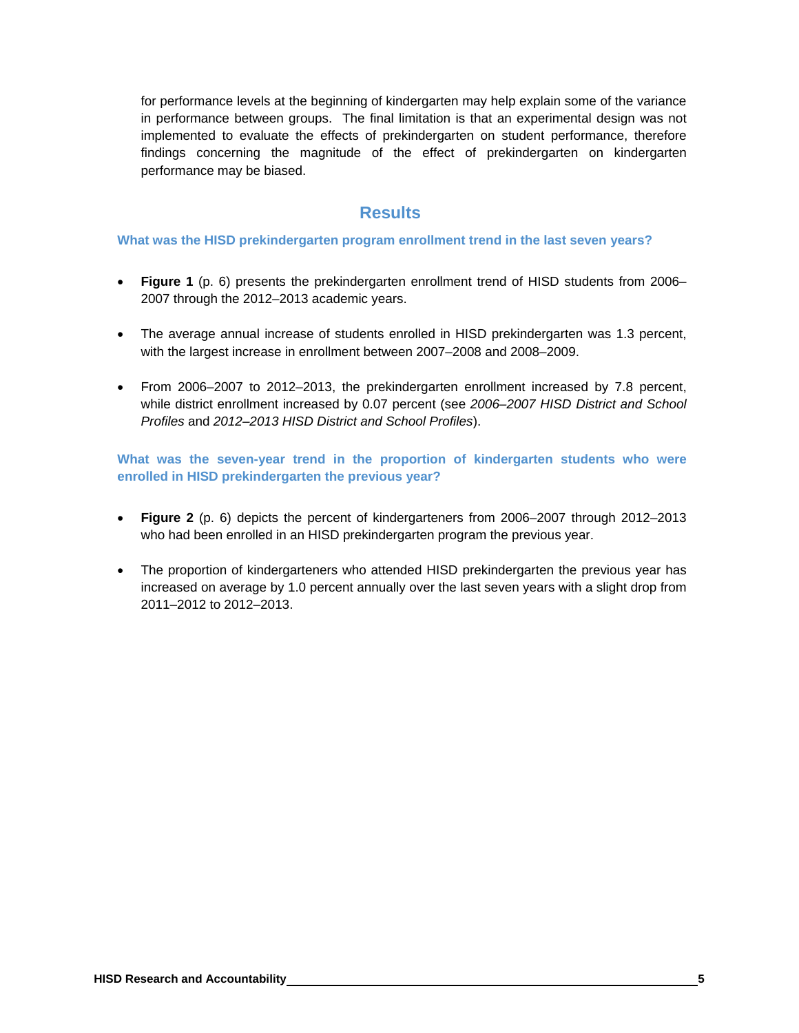for performance levels at the beginning of kindergarten may help explain some of the variance in performance between groups. The final limitation is that an experimental design was not implemented to evaluate the effects of prekindergarten on student performance, therefore findings concerning the magnitude of the effect of prekindergarten on kindergarten performance may be biased.

# **Results**

# **What was the HISD prekindergarten program enrollment trend in the last seven years?**

- **Figure 1** (p. 6) presents the prekindergarten enrollment trend of HISD students from 2006– 2007 through the 2012–2013 academic years.
- The average annual increase of students enrolled in HISD prekindergarten was 1.3 percent, with the largest increase in enrollment between 2007–2008 and 2008–2009.
- From 2006–2007 to 2012–2013, the prekindergarten enrollment increased by 7.8 percent, while district enrollment increased by 0.07 percent (see *2006–2007 HISD District and School Profiles* and *2012–2013 HISD District and School Profiles*).

**What was the seven-year trend in the proportion of kindergarten students who were enrolled in HISD prekindergarten the previous year?** 

- **Figure 2** (p. 6) depicts the percent of kindergarteners from 2006–2007 through 2012–2013 who had been enrolled in an HISD prekindergarten program the previous year.
- The proportion of kindergarteners who attended HISD prekindergarten the previous year has increased on average by 1.0 percent annually over the last seven years with a slight drop from 2011–2012 to 2012–2013.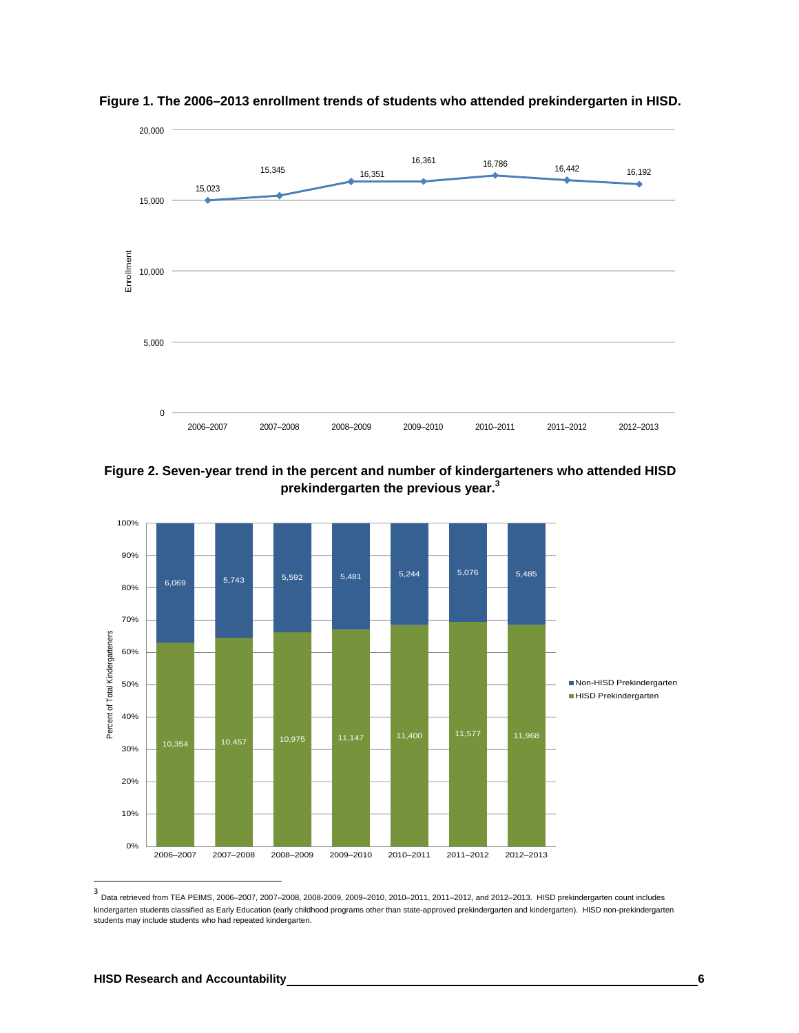

**Figure 1. The 2006–2013 enrollment trends of students who attended prekindergarten in HISD.** 

**Figure 2. Seven-year trend in the percent and number of kindergarteners who attended HISD prekindergarten the previous year.<sup>3</sup>**



3<br>Data retrieved from TEA PEIMS, 2006–2007, 2007–2008, 2008-2009, 2009–2010, 2010–2011, 2011–2012, and 2012–2013. HISD prekindergarten count includes kindergarten students classified as Early Education (early childhood programs other than state-approved prekindergarten and kindergarten). HISD non-prekindergarten students may include students who had repeated kindergarten.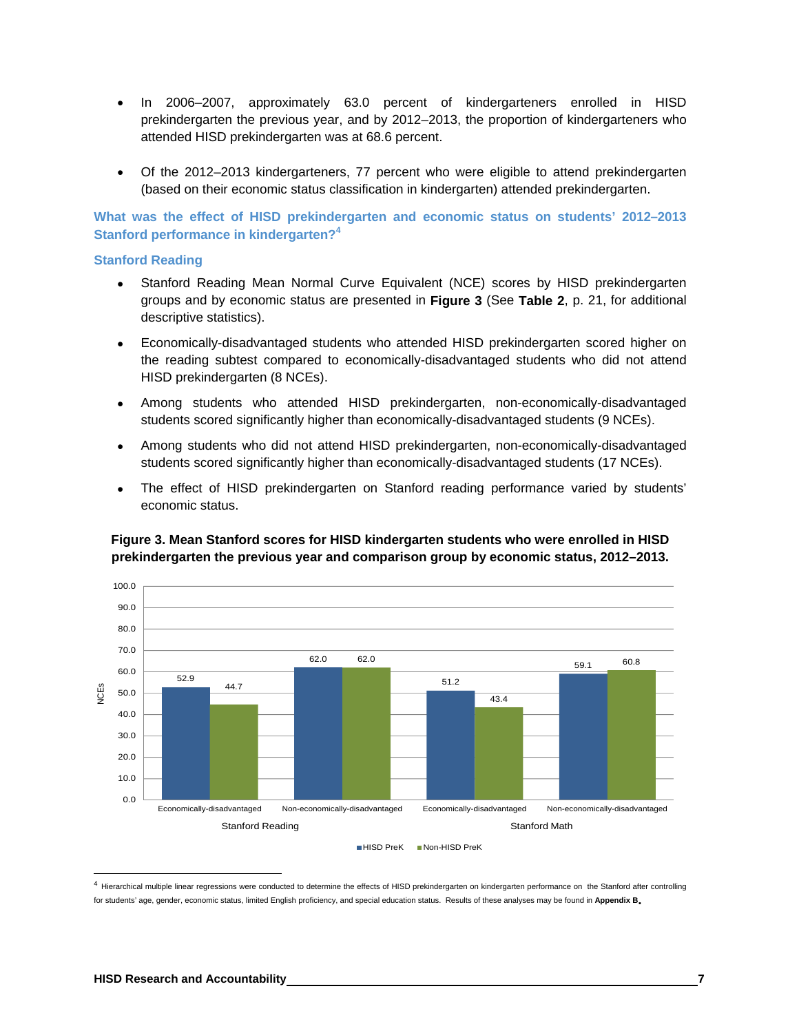- In 2006–2007, approximately 63.0 percent of kindergarteners enrolled in HISD prekindergarten the previous year, and by 2012–2013, the proportion of kindergarteners who attended HISD prekindergarten was at 68.6 percent.
- Of the 2012–2013 kindergarteners, 77 percent who were eligible to attend prekindergarten (based on their economic status classification in kindergarten) attended prekindergarten.

**What was the effect of HISD prekindergarten and economic status on students' 2012–2013 Stanford performance in kindergarten?4**

#### **Stanford Reading**

- Stanford Reading Mean Normal Curve Equivalent (NCE) scores by HISD prekindergarten groups and by economic status are presented in **Figure 3** (See **Table 2**, p. 21, for additional descriptive statistics).
- Economically-disadvantaged students who attended HISD prekindergarten scored higher on the reading subtest compared to economically-disadvantaged students who did not attend HISD prekindergarten (8 NCEs).
- Among students who attended HISD prekindergarten, non-economically-disadvantaged students scored significantly higher than economically-disadvantaged students (9 NCEs).
- Among students who did not attend HISD prekindergarten, non-economically-disadvantaged students scored significantly higher than economically-disadvantaged students (17 NCEs).
- The effect of HISD prekindergarten on Stanford reading performance varied by students' economic status.

# **Figure 3. Mean Stanford scores for HISD kindergarten students who were enrolled in HISD prekindergarten the previous year and comparison group by economic status, 2012–2013.**



<sup>4</sup> Hierarchical multiple linear regressions were conducted to determine the effects of HISD prekindergarten on kindergarten performance on the Stanford after controlling for students' age, gender, economic status, limited English proficiency, and special education status. Results of these analyses may be found in **Appendix B.**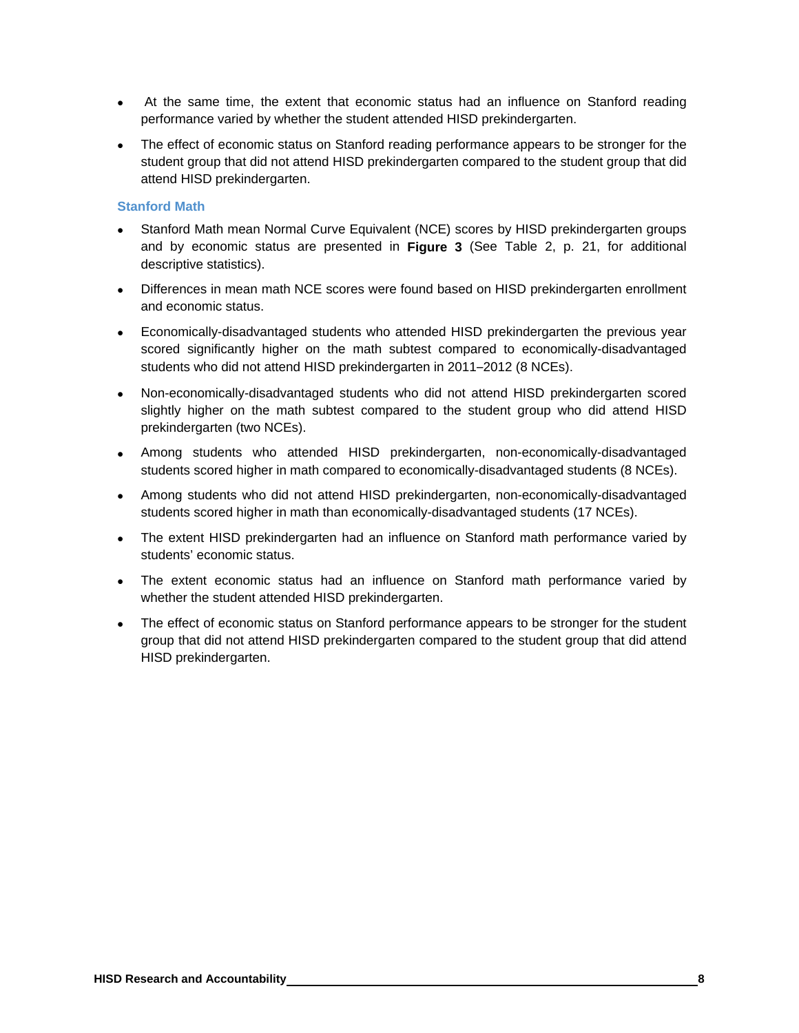- At the same time, the extent that economic status had an influence on Stanford reading performance varied by whether the student attended HISD prekindergarten.
- The effect of economic status on Stanford reading performance appears to be stronger for the student group that did not attend HISD prekindergarten compared to the student group that did attend HISD prekindergarten.

# **Stanford Math**

- Stanford Math mean Normal Curve Equivalent (NCE) scores by HISD prekindergarten groups and by economic status are presented in **Figure 3** (See Table 2, p. 21, for additional descriptive statistics).
- Differences in mean math NCE scores were found based on HISD prekindergarten enrollment and economic status.
- Economically-disadvantaged students who attended HISD prekindergarten the previous year scored significantly higher on the math subtest compared to economically-disadvantaged students who did not attend HISD prekindergarten in 2011–2012 (8 NCEs).
- Non-economically-disadvantaged students who did not attend HISD prekindergarten scored slightly higher on the math subtest compared to the student group who did attend HISD prekindergarten (two NCEs).
- Among students who attended HISD prekindergarten, non-economically-disadvantaged students scored higher in math compared to economically-disadvantaged students (8 NCEs).
- Among students who did not attend HISD prekindergarten, non-economically-disadvantaged students scored higher in math than economically-disadvantaged students (17 NCEs).
- The extent HISD prekindergarten had an influence on Stanford math performance varied by students' economic status.
- The extent economic status had an influence on Stanford math performance varied by whether the student attended HISD prekindergarten.
- The effect of economic status on Stanford performance appears to be stronger for the student group that did not attend HISD prekindergarten compared to the student group that did attend HISD prekindergarten.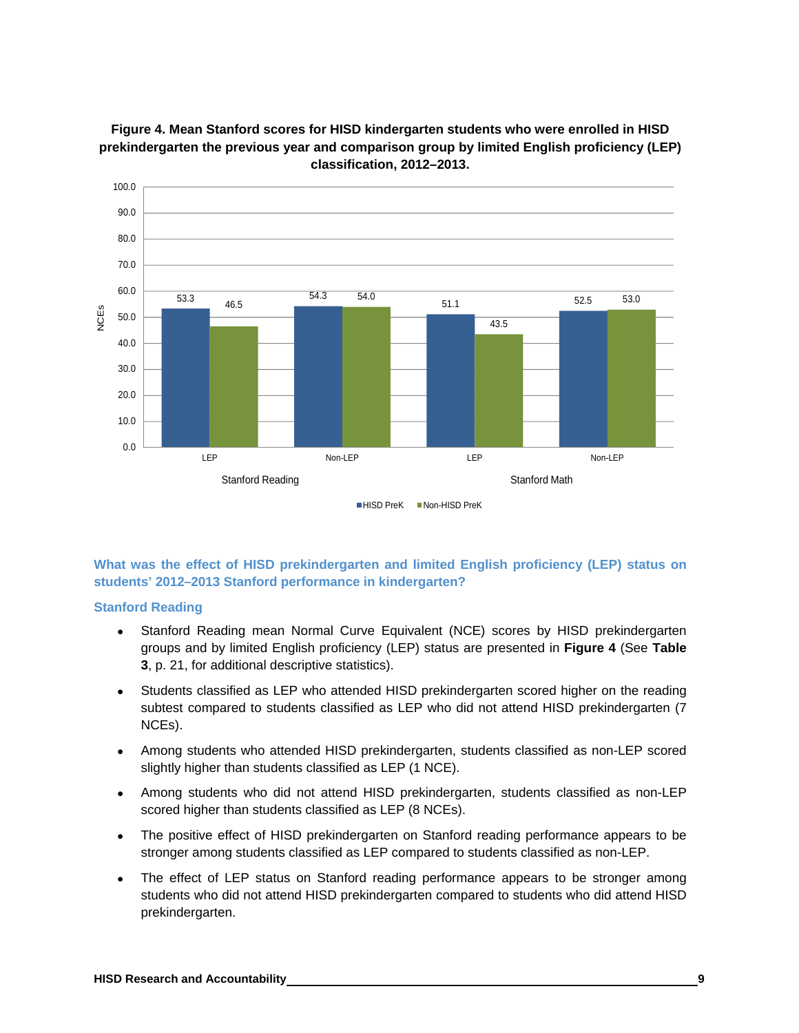

**Figure 4. Mean Stanford scores for HISD kindergarten students who were enrolled in HISD prekindergarten the previous year and comparison group by limited English proficiency (LEP) classification, 2012–2013.** 

# **What was the effect of HISD prekindergarten and limited English proficiency (LEP) status on students' 2012–2013 Stanford performance in kindergarten?**

# **Stanford Reading**

- Stanford Reading mean Normal Curve Equivalent (NCE) scores by HISD prekindergarten groups and by limited English proficiency (LEP) status are presented in **Figure 4** (See **Table 3**, p. 21, for additional descriptive statistics).
- Students classified as LEP who attended HISD prekindergarten scored higher on the reading subtest compared to students classified as LEP who did not attend HISD prekindergarten (7 NCEs).
- Among students who attended HISD prekindergarten, students classified as non-LEP scored slightly higher than students classified as LEP (1 NCE).
- Among students who did not attend HISD prekindergarten, students classified as non-LEP scored higher than students classified as LEP (8 NCEs).
- The positive effect of HISD prekindergarten on Stanford reading performance appears to be stronger among students classified as LEP compared to students classified as non-LEP.
- The effect of LEP status on Stanford reading performance appears to be stronger among students who did not attend HISD prekindergarten compared to students who did attend HISD prekindergarten.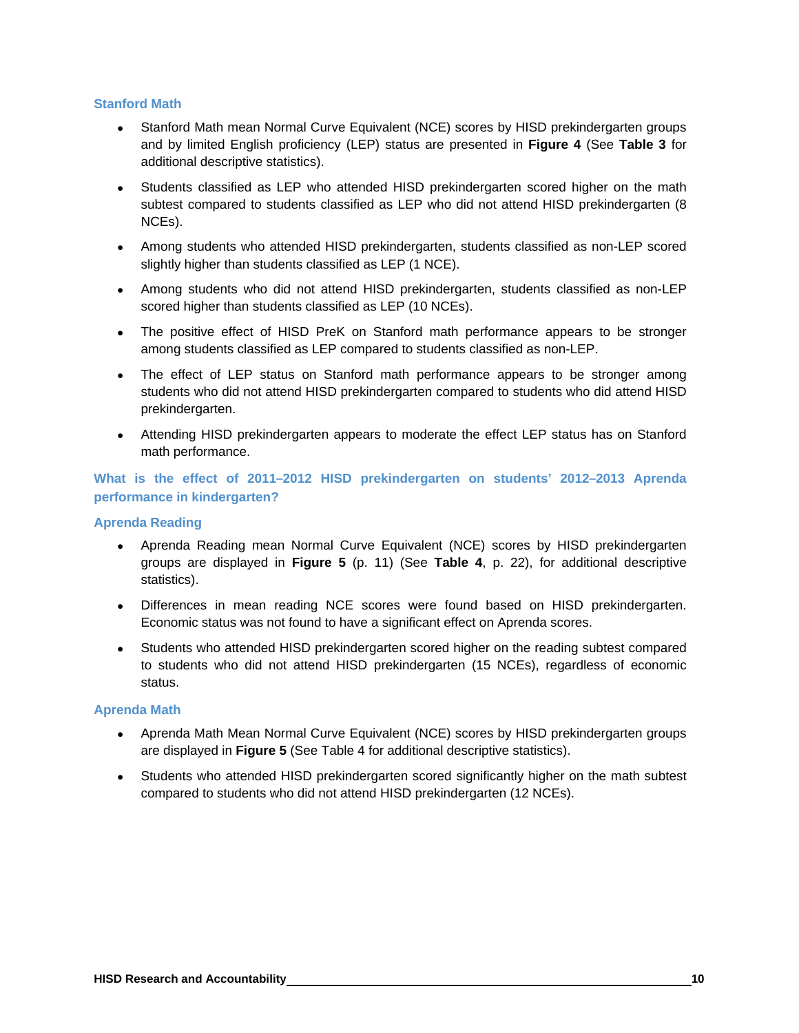# **Stanford Math**

- Stanford Math mean Normal Curve Equivalent (NCE) scores by HISD prekindergarten groups and by limited English proficiency (LEP) status are presented in **Figure 4** (See **Table 3** for additional descriptive statistics).
- Students classified as LEP who attended HISD prekindergarten scored higher on the math subtest compared to students classified as LEP who did not attend HISD prekindergarten (8 NCEs).
- Among students who attended HISD prekindergarten, students classified as non-LEP scored slightly higher than students classified as LEP (1 NCE).
- Among students who did not attend HISD prekindergarten, students classified as non-LEP scored higher than students classified as LEP (10 NCEs).
- The positive effect of HISD PreK on Stanford math performance appears to be stronger among students classified as LEP compared to students classified as non-LEP.
- The effect of LEP status on Stanford math performance appears to be stronger among students who did not attend HISD prekindergarten compared to students who did attend HISD prekindergarten.
- Attending HISD prekindergarten appears to moderate the effect LEP status has on Stanford math performance.

**What is the effect of 2011–2012 HISD prekindergarten on students' 2012–2013 Aprenda performance in kindergarten?** 

### **Aprenda Reading**

- Aprenda Reading mean Normal Curve Equivalent (NCE) scores by HISD prekindergarten groups are displayed in **Figure 5** (p. 11) (See **Table 4**, p. 22), for additional descriptive statistics).
- Differences in mean reading NCE scores were found based on HISD prekindergarten. Economic status was not found to have a significant effect on Aprenda scores.
- Students who attended HISD prekindergarten scored higher on the reading subtest compared to students who did not attend HISD prekindergarten (15 NCEs), regardless of economic status.

#### **Aprenda Math**

- Aprenda Math Mean Normal Curve Equivalent (NCE) scores by HISD prekindergarten groups are displayed in **Figure 5** (See Table 4 for additional descriptive statistics).
- Students who attended HISD prekindergarten scored significantly higher on the math subtest compared to students who did not attend HISD prekindergarten (12 NCEs).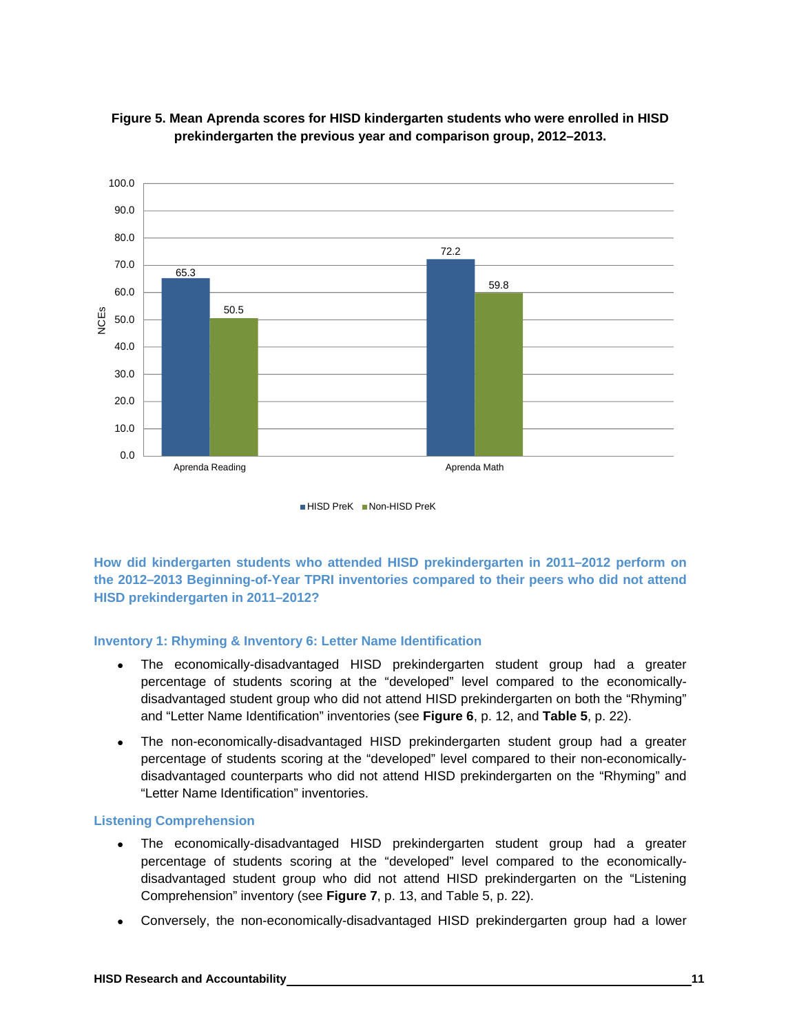



**How did kindergarten students who attended HISD prekindergarten in 2011–2012 perform on the 2012–2013 Beginning-of-Year TPRI inventories compared to their peers who did not attend HISD prekindergarten in 2011–2012?** 

#### **Inventory 1: Rhyming & Inventory 6: Letter Name Identification**

- The economically-disadvantaged HISD prekindergarten student group had a greater percentage of students scoring at the "developed" level compared to the economicallydisadvantaged student group who did not attend HISD prekindergarten on both the "Rhyming" and "Letter Name Identification" inventories (see **Figure 6**, p. 12, and **Table 5**, p. 22).
- The non-economically-disadvantaged HISD prekindergarten student group had a greater percentage of students scoring at the "developed" level compared to their non-economicallydisadvantaged counterparts who did not attend HISD prekindergarten on the "Rhyming" and "Letter Name Identification" inventories.

#### **Listening Comprehension**

- The economically-disadvantaged HISD prekindergarten student group had a greater percentage of students scoring at the "developed" level compared to the economicallydisadvantaged student group who did not attend HISD prekindergarten on the "Listening Comprehension" inventory (see **Figure 7**, p. 13, and Table 5, p. 22).
- Conversely, the non-economically-disadvantaged HISD prekindergarten group had a lower

HISD PreK Non-HISD PreK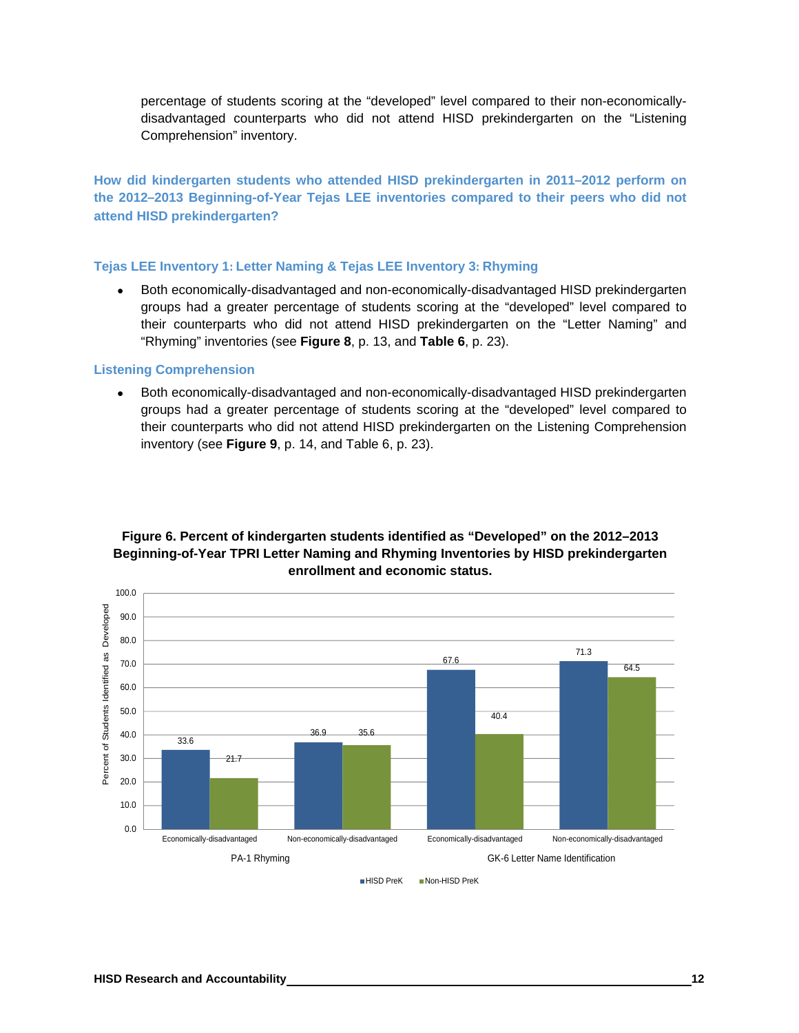percentage of students scoring at the "developed" level compared to their non-economicallydisadvantaged counterparts who did not attend HISD prekindergarten on the "Listening Comprehension" inventory.

**How did kindergarten students who attended HISD prekindergarten in 2011–2012 perform on the 2012–2013 Beginning-of-Year Tejas LEE inventories compared to their peers who did not attend HISD prekindergarten?** 

# **Tejas LEE Inventory 1: Letter Naming & Tejas LEE Inventory 3: Rhyming**

 Both economically-disadvantaged and non-economically-disadvantaged HISD prekindergarten groups had a greater percentage of students scoring at the "developed" level compared to their counterparts who did not attend HISD prekindergarten on the "Letter Naming" and "Rhyming" inventories (see **Figure 8**, p. 13, and **Table 6**, p. 23).

#### **Listening Comprehension**

 Both economically-disadvantaged and non-economically-disadvantaged HISD prekindergarten groups had a greater percentage of students scoring at the "developed" level compared to their counterparts who did not attend HISD prekindergarten on the Listening Comprehension inventory (see **Figure 9**, p. 14, and Table 6, p. 23).



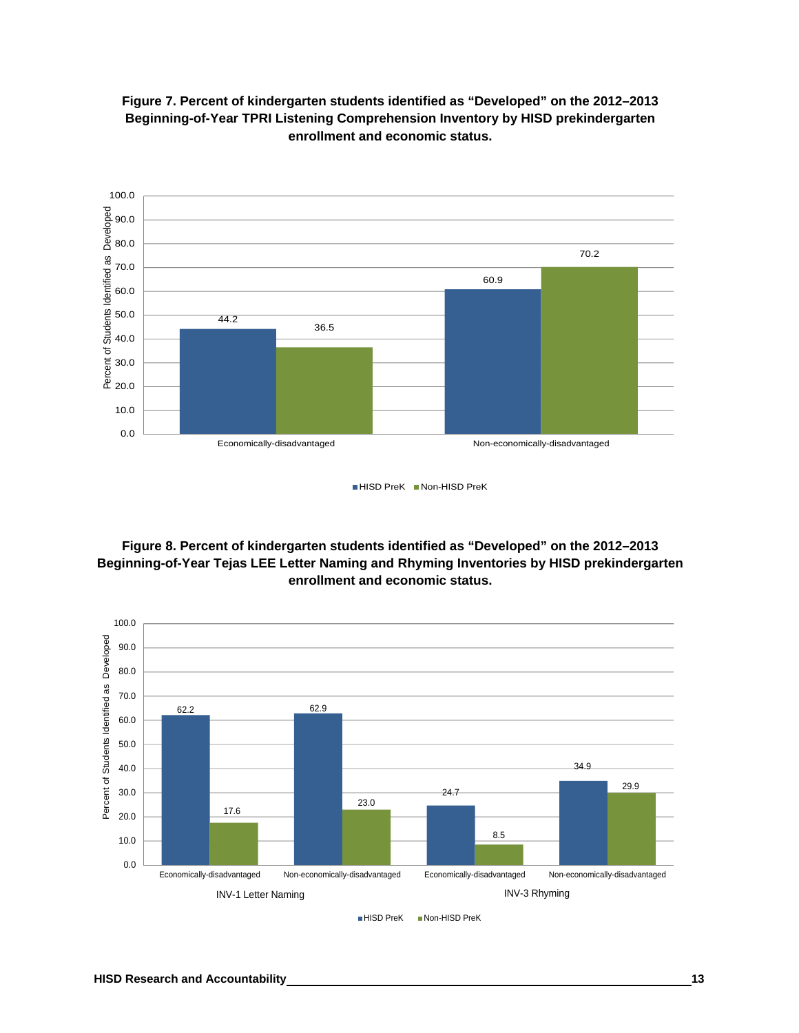

**Figure 7. Percent of kindergarten students identified as "Developed" on the 2012–2013 Beginning-of-Year TPRI Listening Comprehension Inventory by HISD prekindergarten enrollment and economic status.** 

HISD PreK Non-HISD PreK

**Figure 8. Percent of kindergarten students identified as "Developed" on the 2012–2013 Beginning-of-Year Tejas LEE Letter Naming and Rhyming Inventories by HISD prekindergarten enrollment and economic status.** 

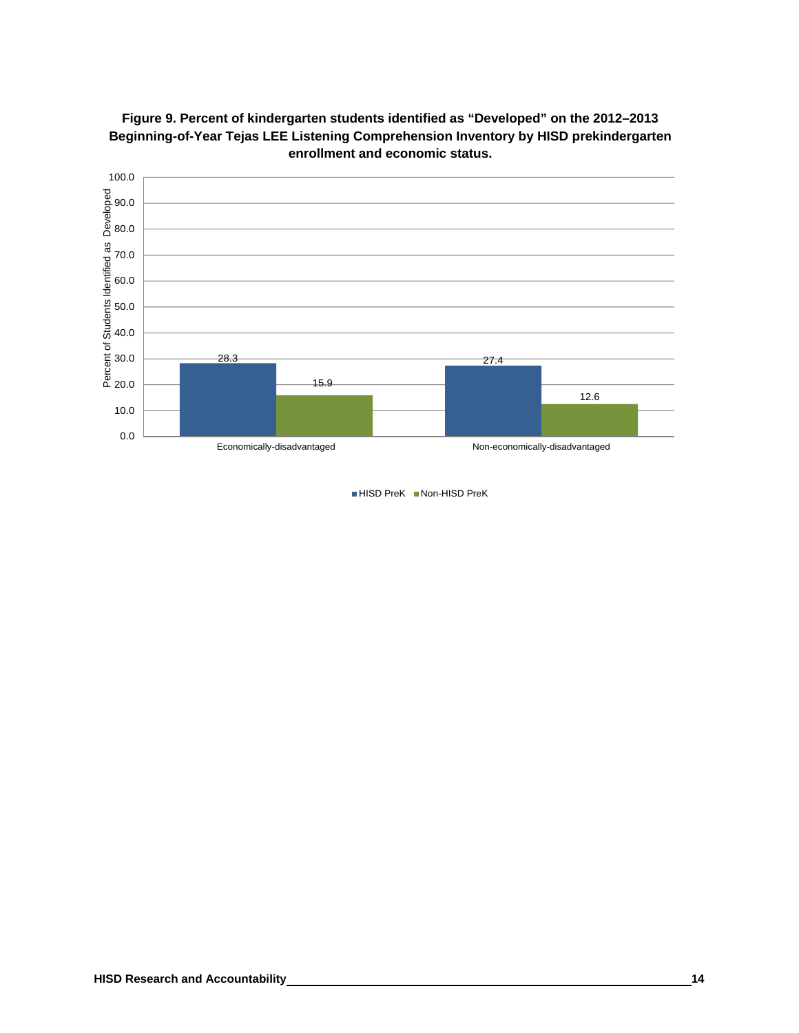



■ HISD PreK Non-HISD PreK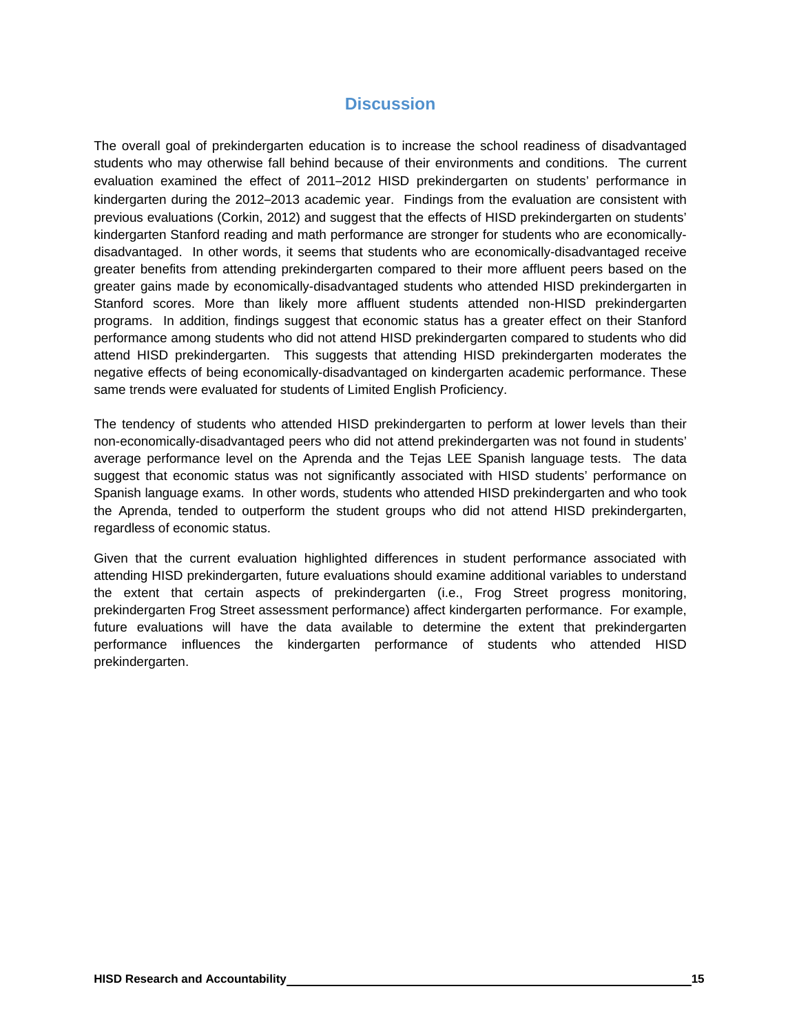# **Discussion**

The overall goal of prekindergarten education is to increase the school readiness of disadvantaged students who may otherwise fall behind because of their environments and conditions. The current evaluation examined the effect of 2011–2012 HISD prekindergarten on students' performance in kindergarten during the 2012–2013 academic year. Findings from the evaluation are consistent with previous evaluations (Corkin, 2012) and suggest that the effects of HISD prekindergarten on students' kindergarten Stanford reading and math performance are stronger for students who are economicallydisadvantaged. In other words, it seems that students who are economically-disadvantaged receive greater benefits from attending prekindergarten compared to their more affluent peers based on the greater gains made by economically-disadvantaged students who attended HISD prekindergarten in Stanford scores. More than likely more affluent students attended non-HISD prekindergarten programs. In addition, findings suggest that economic status has a greater effect on their Stanford performance among students who did not attend HISD prekindergarten compared to students who did attend HISD prekindergarten. This suggests that attending HISD prekindergarten moderates the negative effects of being economically-disadvantaged on kindergarten academic performance. These same trends were evaluated for students of Limited English Proficiency.

The tendency of students who attended HISD prekindergarten to perform at lower levels than their non-economically-disadvantaged peers who did not attend prekindergarten was not found in students' average performance level on the Aprenda and the Tejas LEE Spanish language tests. The data suggest that economic status was not significantly associated with HISD students' performance on Spanish language exams. In other words, students who attended HISD prekindergarten and who took the Aprenda, tended to outperform the student groups who did not attend HISD prekindergarten, regardless of economic status.

Given that the current evaluation highlighted differences in student performance associated with attending HISD prekindergarten, future evaluations should examine additional variables to understand the extent that certain aspects of prekindergarten (i.e., Frog Street progress monitoring, prekindergarten Frog Street assessment performance) affect kindergarten performance. For example, future evaluations will have the data available to determine the extent that prekindergarten performance influences the kindergarten performance of students who attended HISD prekindergarten.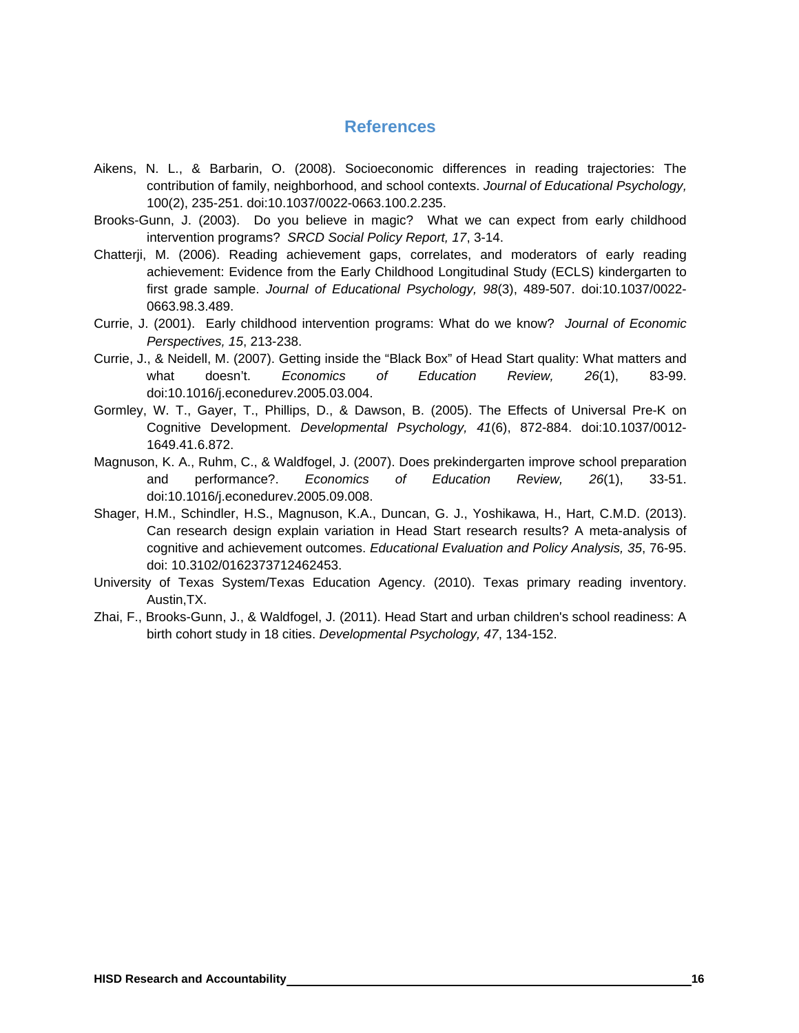# **References**

- Aikens, N. L., & Barbarin, O. (2008). Socioeconomic differences in reading trajectories: The contribution of family, neighborhood, and school contexts. *Journal of Educational Psychology,* 100(2), 235-251. doi:10.1037/0022-0663.100.2.235.
- Brooks-Gunn, J. (2003). Do you believe in magic? What we can expect from early childhood intervention programs? *SRCD Social Policy Report, 17*, 3-14.
- Chatterji, M. (2006). Reading achievement gaps, correlates, and moderators of early reading achievement: Evidence from the Early Childhood Longitudinal Study (ECLS) kindergarten to first grade sample. *Journal of Educational Psychology, 98*(3), 489-507. doi:10.1037/0022- 0663.98.3.489.
- Currie, J. (2001). Early childhood intervention programs: What do we know? *Journal of Economic Perspectives, 15*, 213-238.
- Currie, J., & Neidell, M. (2007). Getting inside the "Black Box" of Head Start quality: What matters and what doesn't. *Economics of Education Review, 26*(1), 83-99. doi:10.1016/j.econedurev.2005.03.004.
- Gormley, W. T., Gayer, T., Phillips, D., & Dawson, B. (2005). The Effects of Universal Pre-K on Cognitive Development. *Developmental Psychology, 41*(6), 872-884. doi:10.1037/0012- 1649.41.6.872.
- Magnuson, K. A., Ruhm, C., & Waldfogel, J. (2007). Does prekindergarten improve school preparation and performance?. *Economics of Education Review, 26*(1), 33-51. doi:10.1016/j.econedurev.2005.09.008.
- Shager, H.M., Schindler, H.S., Magnuson, K.A., Duncan, G. J., Yoshikawa, H., Hart, C.M.D. (2013). Can research design explain variation in Head Start research results? A meta-analysis of cognitive and achievement outcomes. *Educational Evaluation and Policy Analysis, 35*, 76-95. doi: 10.3102/0162373712462453.
- University of Texas System/Texas Education Agency. (2010). Texas primary reading inventory. Austin,TX.
- Zhai, F., Brooks-Gunn, J., & Waldfogel, J. (2011). Head Start and urban children's school readiness: A birth cohort study in 18 cities. *Developmental Psychology, 47*, 134-152.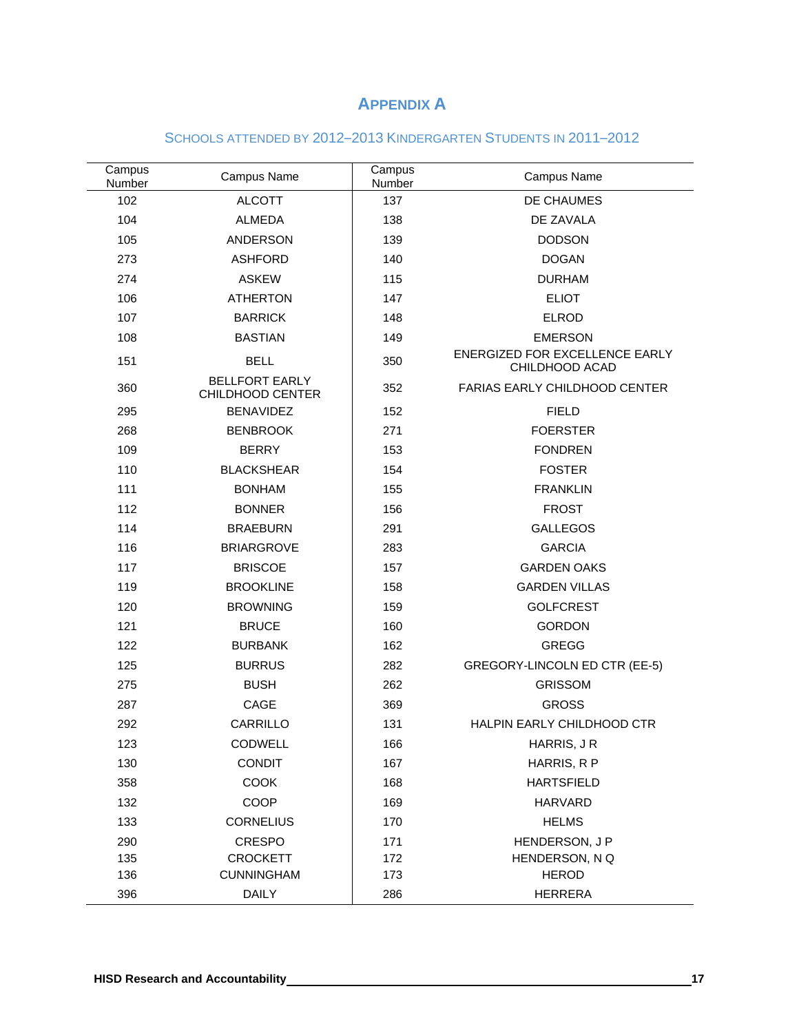# **APPENDIX A**

# SCHOOLS ATTENDED BY 2012–2013 KINDERGARTEN STUDENTS IN 2011–2012

| Campus<br>Number | Campus Name                               | Campus<br>Number | Campus Name                                      |  |
|------------------|-------------------------------------------|------------------|--------------------------------------------------|--|
| 102              | <b>ALCOTT</b>                             | 137              | DE CHAUMES                                       |  |
| 104              | <b>ALMEDA</b>                             | 138              | DE ZAVALA                                        |  |
| 105              | <b>ANDERSON</b>                           | 139              | <b>DODSON</b>                                    |  |
| 273              | <b>ASHFORD</b>                            | 140              | <b>DOGAN</b>                                     |  |
| 274              | <b>ASKEW</b>                              | 115              | <b>DURHAM</b>                                    |  |
| 106              | <b>ATHERTON</b>                           | 147              | <b>ELIOT</b>                                     |  |
| 107              | <b>BARRICK</b>                            | 148              | <b>ELROD</b>                                     |  |
| 108              | <b>BASTIAN</b>                            | 149              | <b>EMERSON</b>                                   |  |
| 151              | <b>BELL</b>                               | 350              | ENERGIZED FOR EXCELLENCE EARLY<br>CHILDHOOD ACAD |  |
| 360              | <b>BELLFORT EARLY</b><br>CHILDHOOD CENTER | 352              | <b>FARIAS EARLY CHILDHOOD CENTER</b>             |  |
| 295              | <b>BENAVIDEZ</b>                          | 152              | <b>FIELD</b>                                     |  |
| 268              | <b>BENBROOK</b>                           | 271              | <b>FOERSTER</b>                                  |  |
| 109              | <b>BERRY</b>                              | 153              | <b>FONDREN</b>                                   |  |
| 110              | <b>BLACKSHEAR</b>                         | 154              | <b>FOSTER</b>                                    |  |
| 111              | <b>BONHAM</b>                             | 155              | <b>FRANKLIN</b>                                  |  |
| 112              | <b>BONNER</b>                             | 156              | <b>FROST</b>                                     |  |
| 114              | <b>BRAEBURN</b>                           | 291              | <b>GALLEGOS</b>                                  |  |
| 116              | <b>BRIARGROVE</b>                         | 283              | <b>GARCIA</b>                                    |  |
| 117              | <b>BRISCOE</b>                            | 157              | <b>GARDEN OAKS</b>                               |  |
| 119              | <b>BROOKLINE</b>                          | 158              | <b>GARDEN VILLAS</b>                             |  |
| 120              | <b>BROWNING</b>                           | 159              | <b>GOLFCREST</b>                                 |  |
| 121              | <b>BRUCE</b>                              | 160              | <b>GORDON</b>                                    |  |
| 122              | <b>BURBANK</b>                            | 162              | <b>GREGG</b>                                     |  |
| 125              | <b>BURRUS</b>                             | 282              | GREGORY-LINCOLN ED CTR (EE-5)                    |  |
| 275              | <b>BUSH</b>                               | 262              | <b>GRISSOM</b>                                   |  |
| 287              | CAGE                                      | 369              | <b>GROSS</b>                                     |  |
| 292              | CARRILLO                                  | 131              | HALPIN EARLY CHILDHOOD CTR                       |  |
| 123              | CODWELL                                   | 166              | HARRIS, J R                                      |  |
| 130              | <b>CONDIT</b>                             | 167              | HARRIS, R P                                      |  |
| 358              | <b>COOK</b>                               | 168              | <b>HARTSFIELD</b>                                |  |
| 132              | COOP                                      | 169              | <b>HARVARD</b>                                   |  |
| 133              | <b>CORNELIUS</b>                          | 170              | <b>HELMS</b>                                     |  |
| 290              | <b>CRESPO</b>                             | 171              | HENDERSON, J P                                   |  |
| 135              | <b>CROCKETT</b>                           | 172              | HENDERSON, N Q                                   |  |
| 136              | <b>CUNNINGHAM</b>                         | 173              | <b>HEROD</b>                                     |  |
| 396              | <b>DAILY</b>                              | 286              | <b>HERRERA</b>                                   |  |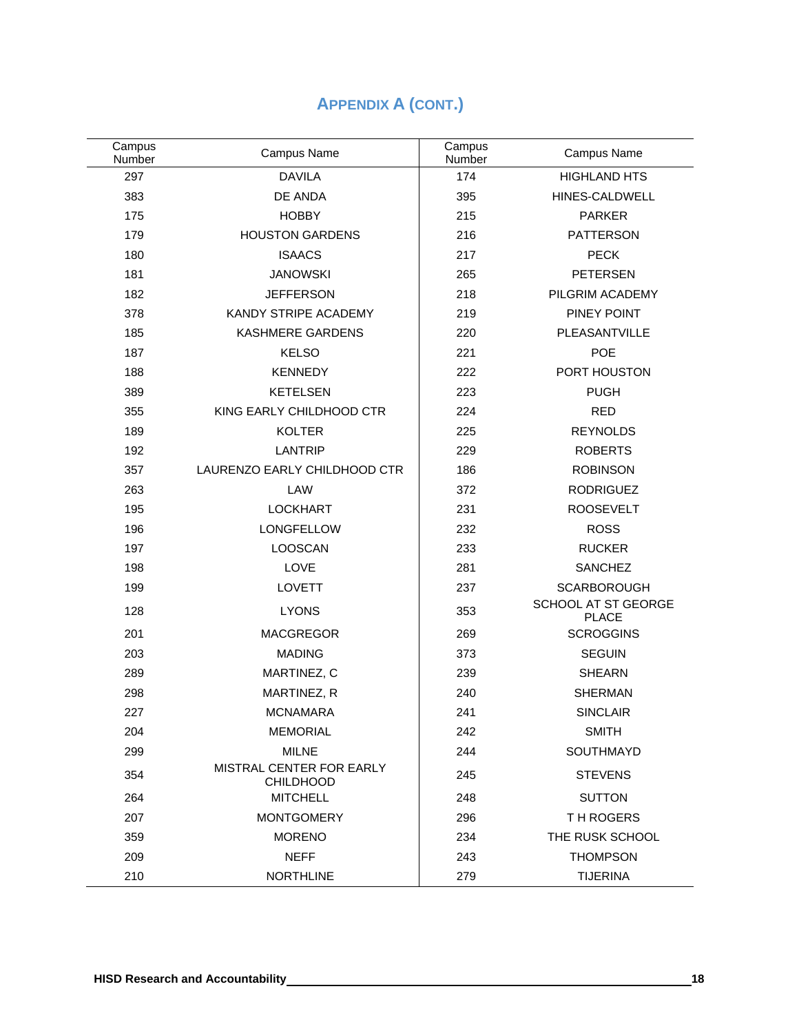| Campus<br>Number | Campus Name                                  | Campus<br>Number | Campus Name                         |
|------------------|----------------------------------------------|------------------|-------------------------------------|
| 297              | <b>DAVILA</b>                                | 174              | <b>HIGHLAND HTS</b>                 |
| 383              | DE ANDA                                      | 395              | HINES-CALDWELL                      |
| 175              | <b>HOBBY</b>                                 | 215              | <b>PARKER</b>                       |
| 179              | <b>HOUSTON GARDENS</b>                       | 216              | <b>PATTERSON</b>                    |
| 180              | <b>ISAACS</b>                                | 217              | <b>PECK</b>                         |
| 181              | <b>JANOWSKI</b>                              | 265              | <b>PETERSEN</b>                     |
| 182              | <b>JEFFERSON</b>                             | 218              | PILGRIM ACADEMY                     |
| 378              | KANDY STRIPE ACADEMY                         | 219              | PINEY POINT                         |
| 185              | <b>KASHMERE GARDENS</b>                      | 220              | PLEASANTVILLE                       |
| 187              | <b>KELSO</b>                                 | 221              | POE                                 |
| 188              | <b>KENNEDY</b>                               | 222              | PORT HOUSTON                        |
| 389              | <b>KETELSEN</b>                              | 223              | <b>PUGH</b>                         |
| 355              | KING EARLY CHILDHOOD CTR                     | 224              | <b>RED</b>                          |
| 189              | <b>KOLTER</b>                                | 225              | <b>REYNOLDS</b>                     |
| 192              | <b>LANTRIP</b>                               | 229              | <b>ROBERTS</b>                      |
| 357              | LAURENZO EARLY CHILDHOOD CTR                 | 186              | <b>ROBINSON</b>                     |
| 263              | LAW                                          | 372              | <b>RODRIGUEZ</b>                    |
| 195              | <b>LOCKHART</b>                              | 231              | <b>ROOSEVELT</b>                    |
| 196              | LONGFELLOW                                   | 232              | <b>ROSS</b>                         |
| 197              | <b>LOOSCAN</b>                               | 233              | <b>RUCKER</b>                       |
| 198              | LOVE                                         | 281              | <b>SANCHEZ</b>                      |
| 199              | <b>LOVETT</b>                                | 237              | <b>SCARBOROUGH</b>                  |
| 128              | <b>LYONS</b>                                 | 353              | SCHOOL AT ST GEORGE<br><b>PLACE</b> |
| 201              | <b>MACGREGOR</b>                             | 269              | <b>SCROGGINS</b>                    |
| 203              | <b>MADING</b>                                | 373              | <b>SEGUIN</b>                       |
| 289              | MARTINEZ, C                                  | 239              | <b>SHEARN</b>                       |
| 298              | MARTINEZ, R                                  | 240              | <b>SHERMAN</b>                      |
| 227              | <b>MCNAMARA</b>                              | 241              | <b>SINCLAIR</b>                     |
| 204              | <b>MEMORIAL</b>                              | 242              | <b>SMITH</b>                        |
| 299              | <b>MILNE</b>                                 | 244              | SOUTHMAYD                           |
| 354              | MISTRAL CENTER FOR EARLY<br><b>CHILDHOOD</b> | 245              | <b>STEVENS</b>                      |
| 264              | <b>MITCHELL</b>                              | 248              | <b>SUTTON</b>                       |
| 207              | <b>MONTGOMERY</b>                            | 296              | TH ROGERS                           |
| 359              | <b>MORENO</b>                                | 234              | THE RUSK SCHOOL                     |
| 209              | <b>NEFF</b>                                  | 243              | <b>THOMPSON</b>                     |
| 210              | <b>NORTHLINE</b>                             | 279              | <b>TIJERINA</b>                     |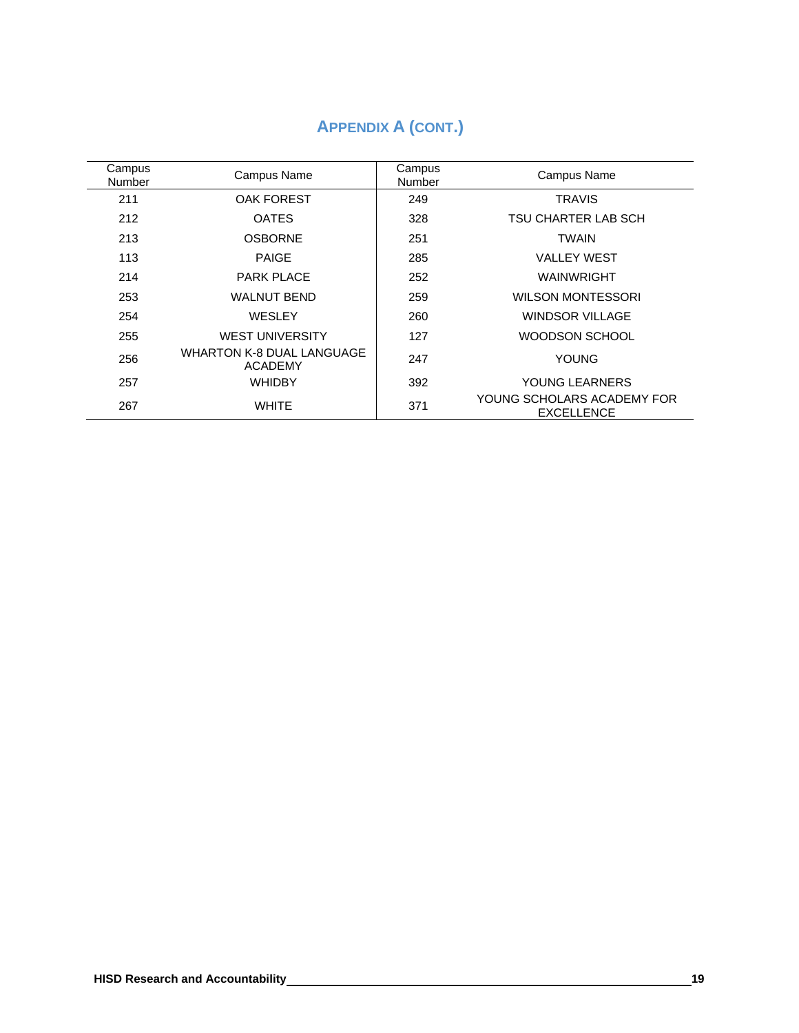# **APPENDIX A (CONT.)**

| Campus<br>Number | Campus Name                          | Campus<br>Number | Campus Name                                     |
|------------------|--------------------------------------|------------------|-------------------------------------------------|
| 211              | <b>OAK FOREST</b>                    | 249              | <b>TRAVIS</b>                                   |
| 212              | <b>OATES</b>                         | 328              | TSU CHARTER LAB SCH                             |
| 213              | <b>OSBORNE</b>                       | 251              | TWAIN                                           |
| 113              | <b>PAIGE</b>                         | 285              | <b>VALLEY WEST</b>                              |
| 214              | <b>PARK PLACE</b>                    | 252              | WAINWRIGHT                                      |
| 253              | <b>WALNUT BEND</b>                   | 259              | <b>WILSON MONTESSORI</b>                        |
| 254              | WESLEY                               | 260              | <b>WINDSOR VILLAGE</b>                          |
| 255              | <b>WEST UNIVERSITY</b>               | 127              | WOODSON SCHOOL                                  |
| 256              | WHARTON K-8 DUAL LANGUAGE<br>ACADEMY | 247              | <b>YOUNG</b>                                    |
| 257              | <b>WHIDBY</b>                        | 392              | YOUNG LEARNERS                                  |
| 267              | <b>WHITE</b>                         | 371              | YOUNG SCHOLARS ACADEMY FOR<br><b>EXCELLENCE</b> |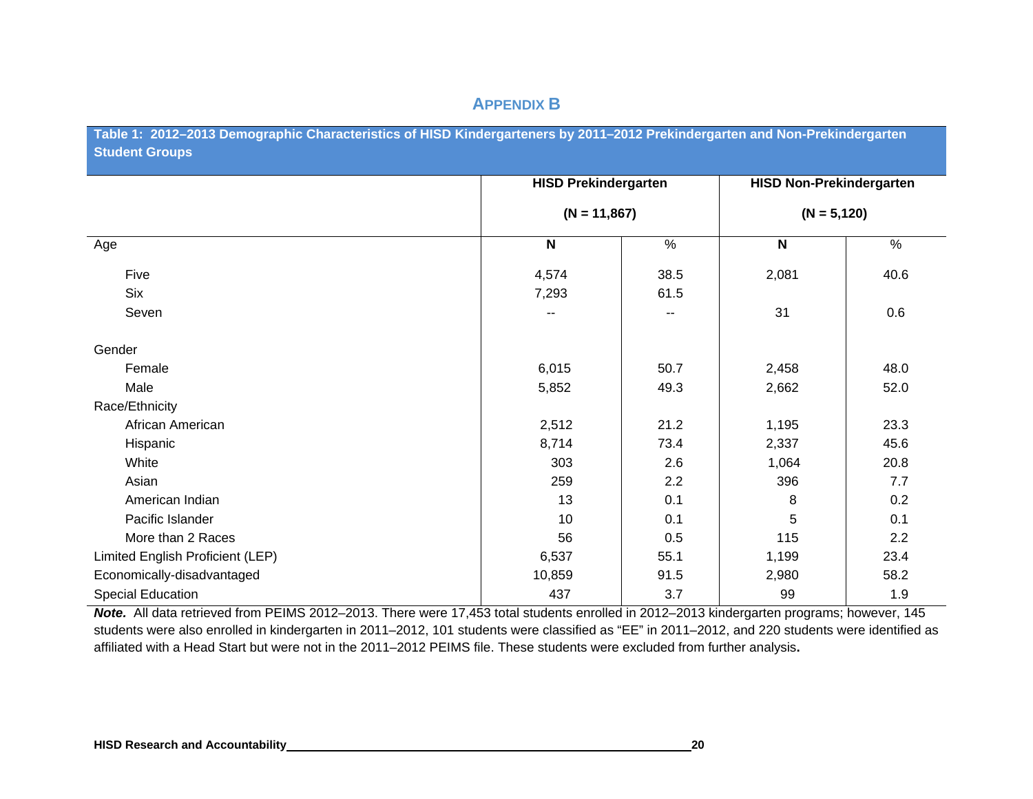# **APPENDIX B**

Table 1: 2012–2013 Demographic Characteristics of HISD Kindergarteners by 2011–2012 Prekindergarten and Non-Prekindergarten **Student Groups**

|                                  | <b>HISD Prekindergarten</b> |               | <b>HISD Non-Prekindergarten</b> |                |
|----------------------------------|-----------------------------|---------------|---------------------------------|----------------|
|                                  | $(N = 11,867)$              |               |                                 | $(N = 5, 120)$ |
| Age                              | $\boldsymbol{\mathsf{N}}$   | $\frac{9}{6}$ | $\mathsf{N}$                    | $\%$           |
| Five                             | 4,574                       | 38.5          | 2,081                           | 40.6           |
| <b>Six</b>                       | 7,293                       | 61.5          |                                 |                |
| Seven                            | --                          | --            | 31                              | 0.6            |
| Gender                           |                             |               |                                 |                |
| Female                           | 6,015                       | 50.7          | 2,458                           | 48.0           |
| Male                             | 5,852                       | 49.3          | 2,662                           | 52.0           |
| Race/Ethnicity                   |                             |               |                                 |                |
| African American                 | 2,512                       | 21.2          | 1,195                           | 23.3           |
| Hispanic                         | 8,714                       | 73.4          | 2,337                           | 45.6           |
| White                            | 303                         | 2.6           | 1,064                           | 20.8           |
| Asian                            | 259                         | 2.2           | 396                             | 7.7            |
| American Indian                  | 13                          | 0.1           | 8                               | 0.2            |
| Pacific Islander                 | 10                          | 0.1           | 5                               | 0.1            |
| More than 2 Races                | 56                          | 0.5           | 115                             | 2.2            |
| Limited English Proficient (LEP) | 6,537                       | 55.1          | 1,199                           | 23.4           |
| Economically-disadvantaged       | 10,859                      | 91.5          | 2,980                           | 58.2           |
| <b>Special Education</b>         | 437                         | 3.7           | 99                              | 1.9            |

*Note.* All data retrieved from PEIMS 2012–2013. There were 17,453 total students enrolled in 2012–2013 kindergarten programs; however, 145 students were also enrolled in kindergarten in 2011–2012, 101 students were classified as "EE" in 2011–2012, and 220 students were identified as affiliated with a Head Start but were not in the 2011–2012 PEIMS file. These students were excluded from further analysis**.**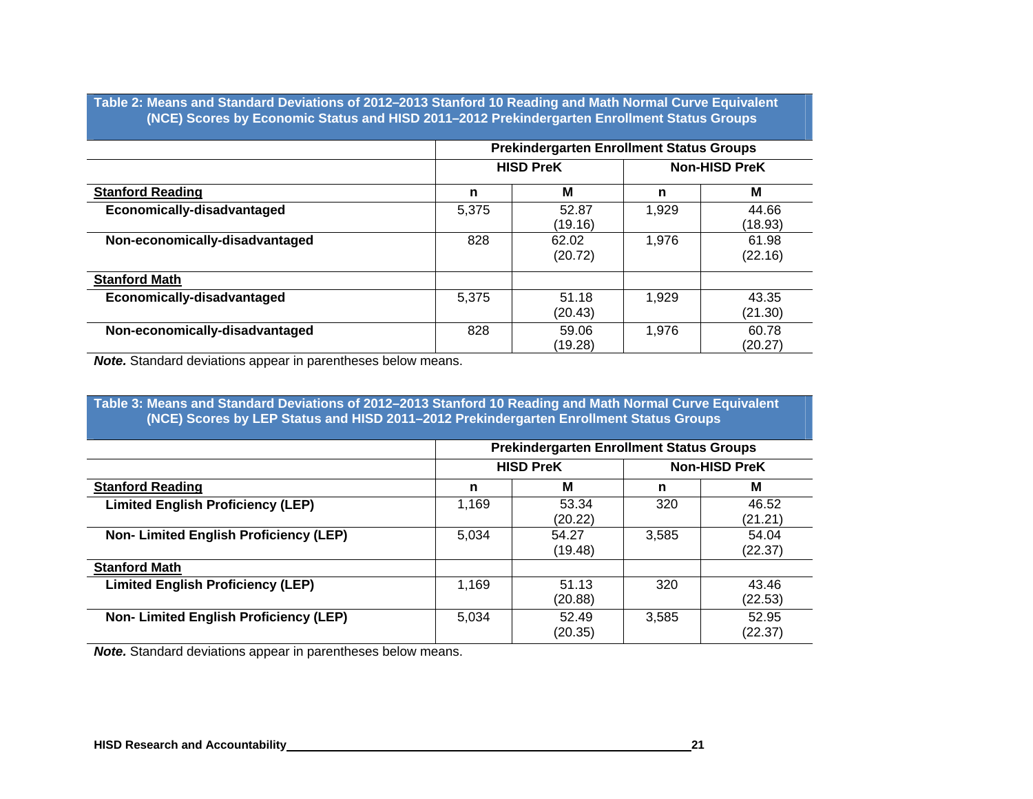**Table 2: Means and Standard Deviations of 2012 –2013 Stanford 10 Reading and Math Normal Curve Equivalent (NCE) Scores by Economic Status and HISD 2011 –2012 Prekindergarten Enrollment Status Groups** 

|                                |                  | <b>Prekindergarten Enrollment Status Groups</b> |                      |                  |  |
|--------------------------------|------------------|-------------------------------------------------|----------------------|------------------|--|
|                                | <b>HISD PreK</b> |                                                 | <b>Non-HISD PreK</b> |                  |  |
| <b>Stanford Reading</b>        | n                | M                                               | n                    | М                |  |
| Economically-disadvantaged     | 5,375            | 52.87<br>(19.16)                                | 1,929                | 44.66<br>(18.93) |  |
| Non-economically-disadvantaged | 828              | 62.02<br>(20.72)                                | 1.976                | 61.98<br>(22.16) |  |
| <b>Stanford Math</b>           |                  |                                                 |                      |                  |  |
| Economically-disadvantaged     | 5,375            | 51.18<br>(20.43)                                | 1,929                | 43.35<br>(21.30) |  |
| Non-economically-disadvantaged | 828              | 59.06<br>(19.28)                                | 1.976                | 60.78<br>(20.27) |  |

*Note.* Standard deviations appear in parentheses below means.

**Table 3: Means and Standard Deviations of 2012–2013 Stanford 10 Reading and Math Normal Curve Equivalent (NCE) Scores by LEP Status and HISD 2011–2012 Prekindergarten Enrollment Status Groups**

|                                              | <b>Prekindergarten Enrollment Status Groups</b> |                                          |       |                  |
|----------------------------------------------|-------------------------------------------------|------------------------------------------|-------|------------------|
|                                              |                                                 | <b>HISD PreK</b><br><b>Non-HISD PreK</b> |       |                  |
| <b>Stanford Reading</b>                      | n                                               | м                                        | n     | M                |
| <b>Limited English Proficiency (LEP)</b>     | 1,169                                           | 53.34<br>(20.22)                         | 320   | 46.52<br>(21.21) |
| <b>Non-Limited English Proficiency (LEP)</b> | 5,034                                           | 54.27<br>(19.48)                         | 3,585 | 54.04<br>(22.37) |
| <b>Stanford Math</b>                         |                                                 |                                          |       |                  |
| <b>Limited English Proficiency (LEP)</b>     | 1,169                                           | 51.13<br>(20.88)                         | 320   | 43.46<br>(22.53) |
| Non-Limited English Proficiency (LEP)        | 5,034                                           | 52.49<br>(20.35)                         | 3,585 | 52.95<br>(22.37) |

*Note.* Standard deviations appear in parentheses below means.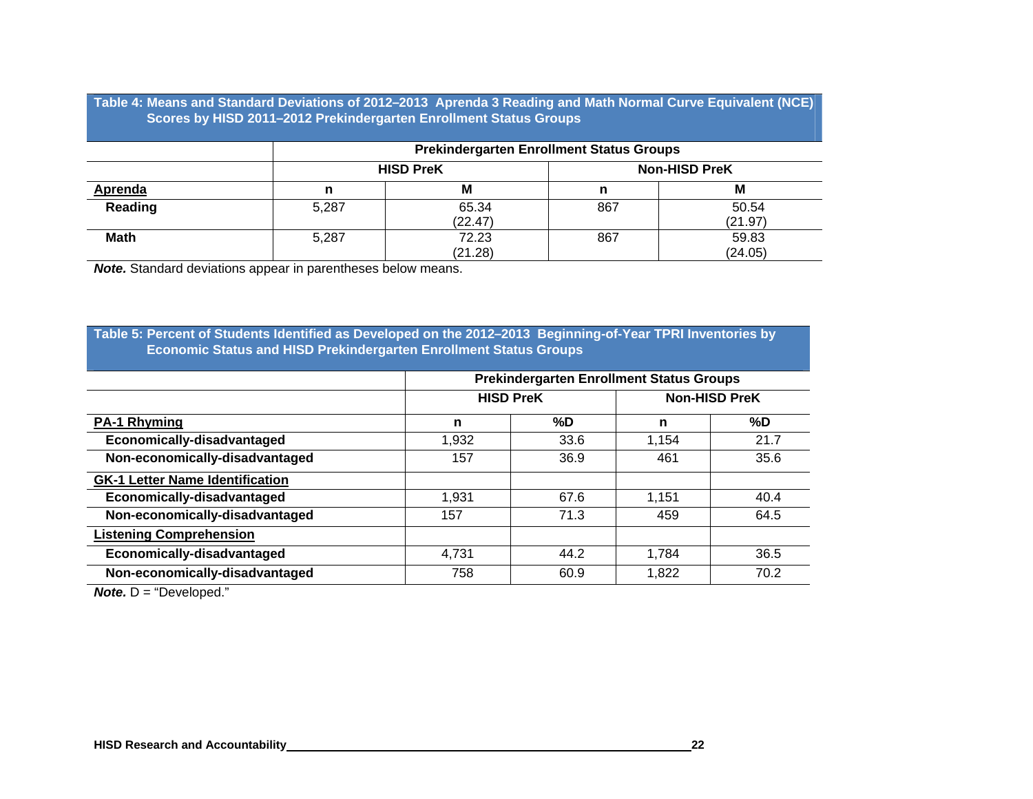**Table 4: Means and Standard Deviations of 2012 –2013 Aprenda 3 Reading and Math Normal Curve Equivalent (NCE) Scores by HISD 2011 –2012 Prekindergarten Enrollment Status Groups** 

|                |       | <b>Prekindergarten Enrollment Status Groups</b> |                      |         |  |  |
|----------------|-------|-------------------------------------------------|----------------------|---------|--|--|
|                |       | <b>HISD PreK</b>                                | <b>Non-HISD PreK</b> |         |  |  |
| <b>Aprenda</b> |       | M                                               |                      | М       |  |  |
| Reading        | 5,287 | 65.34                                           | 867                  | 50.54   |  |  |
|                |       | (22.47)                                         |                      | (21.97) |  |  |
| <b>Math</b>    | 5,287 | 72.23                                           | 867                  | 59.83   |  |  |
|                |       | (21.28)                                         |                      | (24.05) |  |  |

*Note.* Standard deviations appear in parentheses below means.

#### **Table 5: Percent of Students Identified as Developed on the 2012 –2013 Beginning-of-Year TPRI Inventories by Economic Status and HISD Prekindergarten Enrollment Status Groups**

|                                        | <b>Prekindergarten Enrollment Status Groups</b> |      |                      |      |
|----------------------------------------|-------------------------------------------------|------|----------------------|------|
|                                        | <b>HISD PreK</b>                                |      | <b>Non-HISD PreK</b> |      |
| <b>PA-1 Rhyming</b>                    | n                                               | %D   | n                    | %D   |
| Economically-disadvantaged             | 1,932                                           | 33.6 | 1,154                | 21.7 |
| Non-economically-disadvantaged         | 157                                             | 36.9 | 461                  | 35.6 |
| <b>GK-1 Letter Name Identification</b> |                                                 |      |                      |      |
| Economically-disadvantaged             | 1,931                                           | 67.6 | 1,151                | 40.4 |
| Non-economically-disadvantaged         | 157                                             | 71.3 | 459                  | 64.5 |
| <b>Listening Comprehension</b>         |                                                 |      |                      |      |
| Economically-disadvantaged             | 4,731                                           | 44.2 | 1,784                | 36.5 |
| Non-economically-disadvantaged         | 758                                             | 60.9 | 1,822                | 70.2 |

*Note.* D = "Developed."